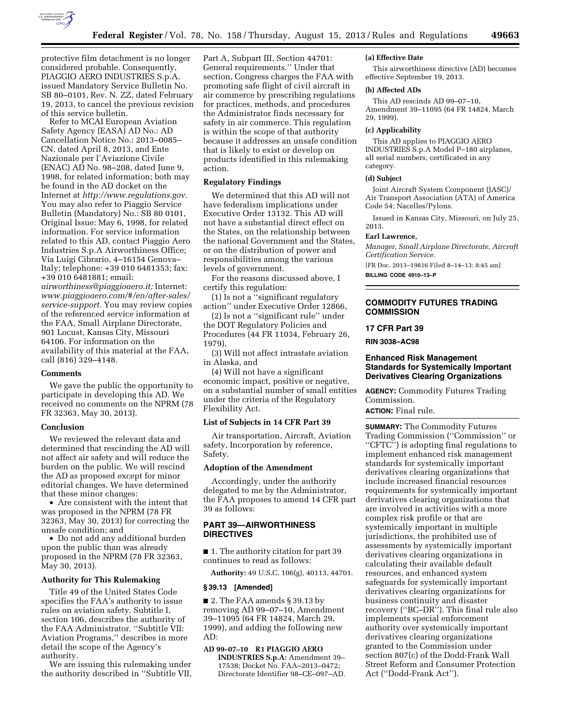

protective film detachment is no longer considered probable. Consequently, PIAGGIO AERO INDUSTRIES S.p.A. issued Mandatory Service Bulletin No. SB 80–0101, Rev. N. ZZ, dated February 19, 2013, to cancel the previous revision of this service bulletin.

Refer to MCAI European Aviation Safety Agency (EASA) AD No.: AD Cancellation Notice No.: 2013–0085– CN, dated April 8, 2013, and Ente Nazionale per l'Aviazione Civile (ENAC) AD No. 98–208, dated June 9, 1998, for related information; both may be found in the AD docket on the Internet at *[http://www.regulations.gov.](http://www.regulations.gov)*  You may also refer to Piaggio Service Bulletin (Mandatory) No.: SB 80 0101, Original Issue: May 6, 1998, for related information. For service information related to this AD, contact Piaggio Aero Industries S.p.A Airworthiness Office; Via Luigi Cibrario, 4–16154 Genova– Italy; telephone: +39 010 6481353; fax: +39 010 6481881; email:

*[airworthiness@piaggioaero.it;](mailto:airworthiness@piaggioaero.it)* Internet: *[www.piaggioaero.com/#/en/after-sales/](http://www.piaggioaero.com/#/en/after-sales/service-support)  [service-support.](http://www.piaggioaero.com/#/en/after-sales/service-support)* You may review copies of the referenced service information at the FAA, Small Airplane Directorate, 901 Locust, Kansas City, Missouri 64106. For information on the availability of this material at the FAA, call (816) 329–4148.

#### **Comments**

We gave the public the opportunity to participate in developing this AD. We received no comments on the NPRM (78 FR 32363, May 30, 2013).

#### **Conclusion**

We reviewed the relevant data and determined that rescinding the AD will not affect air safety and will reduce the burden on the public. We will rescind the AD as proposed except for minor editorial changes. We have determined that these minor changes:

• Are consistent with the intent that was proposed in the NPRM (78 FR 32363, May 30, 2013) for correcting the unsafe condition; and

• Do not add any additional burden upon the public than was already proposed in the NPRM (78 FR 32363, May 30, 2013).

## **Authority for This Rulemaking**

Title 49 of the United States Code specifies the FAA's authority to issue rules on aviation safety. Subtitle I, section 106, describes the authority of the FAA Administrator. ''Subtitle VII: Aviation Programs,'' describes in more detail the scope of the Agency's authority.

We are issuing this rulemaking under the authority described in ''Subtitle VII, Part A, Subpart III, Section 44701: General requirements.'' Under that section, Congress charges the FAA with promoting safe flight of civil aircraft in air commerce by prescribing regulations for practices, methods, and procedures the Administrator finds necessary for safety in air commerce. This regulation is within the scope of that authority because it addresses an unsafe condition that is likely to exist or develop on products identified in this rulemaking action.

## **Regulatory Findings**

We determined that this AD will not have federalism implications under Executive Order 13132. This AD will not have a substantial direct effect on the States, on the relationship between the national Government and the States, or on the distribution of power and responsibilities among the various levels of government.

For the reasons discussed above, I certify this regulation:

(1) Is not a ''significant regulatory action'' under Executive Order 12866,

(2) Is not a ''significant rule'' under the DOT Regulatory Policies and Procedures (44 FR 11034, February 26, 1979),

(3) Will not affect intrastate aviation in Alaska, and

(4) Will not have a significant economic impact, positive or negative, on a substantial number of small entities under the criteria of the Regulatory Flexibility Act.

#### **List of Subjects in 14 CFR Part 39**

Air transportation, Aircraft, Aviation safety, Incorporation by reference, Safety.

#### **Adoption of the Amendment**

Accordingly, under the authority delegated to me by the Administrator, the FAA proposes to amend 14 CFR part 39 as follows:

# **PART 39—AIRWORTHINESS DIRECTIVES**

■ 1. The authority citation for part 39 continues to read as follows:

**Authority:** 49 U.S.C. 106(g), 40113, 44701.

## **§ 39.13 [Amended]**

■ 2. The FAA amends § 39.13 by removing AD 99–07–10, Amendment 39–11095 (64 FR 14824, March 29, 1999), and adding the following new AD:

**AD 99–07–10 R1 PIAGGIO AERO INDUSTRIES S.p.A:** Amendment 39– 17538; Docket No. FAA–2013–0472; Directorate Identifier 98–CE–097–AD.

#### **(a) Effective Date**

This airworthiness directive (AD) becomes effective September 19, 2013.

## **(b) Affected ADs**

This AD rescinds AD 99–07–10, Amendment 39–11095 (64 FR 14824, March 29, 1999).

#### **(c) Applicability**

This AD applies to PIAGGIO AERO INDUSTRIES S.p.A Model P–180 airplanes, all serial numbers, certificated in any category.

#### **(d) Subject**

Joint Aircraft System Component (JASC)/ Air Transport Association (ATA) of America Code 54; Nacelles/Pylons.

Issued in Kansas City, Missouri, on July 25, 2013.

#### **Earl Lawrence,**

*Manager, Small Airplane Directorate, Aircraft Certification Service.* 

[FR Doc. 2013–19816 Filed 8–14–13; 8:45 am] **BILLING CODE 4910–13–P** 

# **COMMODITY FUTURES TRADING COMMISSION**

#### **17 CFR Part 39**

**RIN 3038–AC98** 

## **Enhanced Risk Management Standards for Systemically Important Derivatives Clearing Organizations**

**AGENCY:** Commodity Futures Trading Commission.

**ACTION:** Final rule.

**SUMMARY:** The Commodity Futures Trading Commission (''Commission'' or ''CFTC'') is adopting final regulations to implement enhanced risk management standards for systemically important derivatives clearing organizations that include increased financial resources requirements for systemically important derivatives clearing organizations that are involved in activities with a more complex risk profile or that are systemically important in multiple jurisdictions, the prohibited use of assessments by systemically important derivatives clearing organizations in calculating their available default resources, and enhanced system safeguards for systemically important derivatives clearing organizations for business continuity and disaster recovery (''BC–DR''). This final rule also implements special enforcement authority over systemically important derivatives clearing organizations granted to the Commission under section 807(c) of the Dodd-Frank Wall Street Reform and Consumer Protection Act (''Dodd-Frank Act'').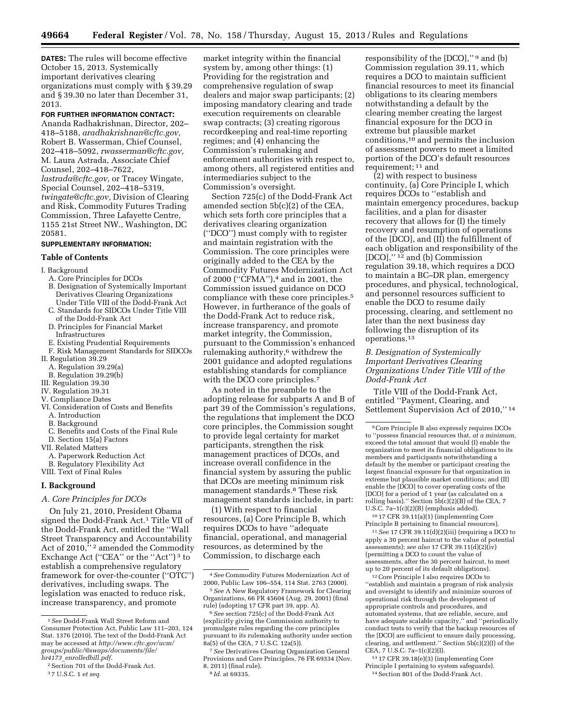**DATES:** The rules will become effective October 15, 2013. Systemically important derivatives clearing organizations must comply with § 39.29 and § 39.30 no later than December 31, 2013.

## **FOR FURTHER INFORMATION CONTACT:**

Ananda Radhakrishnan, Director, 202– 418–5188, *[aradhakrishnan@cftc.gov,](mailto:aradhakrishnan@cftc.gov)*  Robert B. Wasserman, Chief Counsel, 202–418–5092, *[rwasserman@cftc.gov,](mailto:rwasserman@cftc.gov)*  M. Laura Astrada, Associate Chief Counsel, 202–418–7622, *[lastrada@cftc.gov,](mailto:lastrada@cftc.gov)* or Tracey Wingate, Special Counsel, 202–418–5319, *[twingate@cftc.gov,](mailto:twingate@cftc.gov)* Division of Clearing and Risk, Commodity Futures Trading Commission, Three Lafayette Centre, 1155 21st Street NW., Washington, DC 20581.

## **SUPPLEMENTARY INFORMATION:**

## **Table of Contents**

#### I. Background

- A. Core Principles for DCOs
- B. Designation of Systemically Important Derivatives Clearing Organizations Under Title VIII of the Dodd-Frank Act
- C. Standards for SIDCOs Under Title VIII of the Dodd-Frank Act
- D. Principles for Financial Market Infrastructures
- E. Existing Prudential Requirements
- F. Risk Management Standards for SIDCOs II. Regulation 39.29
- A. Regulation 39.29(a)
- B. Regulation 39.29(b)
- III. Regulation 39.30
- IV. Regulation 39.31
- V. Compliance Dates
- VI. Consideration of Costs and Benefits
- A. Introduction
- B. Background
- C. Benefits and Costs of the Final Rule D. Section 15(a) Factors
- VII. Related Matters
- A. Paperwork Reduction Act
- B. Regulatory Flexibility Act
- VIII. Text of Final Rules
- 

## **I. Background**

#### *A. Core Principles for DCOs*

On July 21, 2010, President Obama signed the Dodd-Frank Act.1 Title VII of the Dodd-Frank Act, entitled the ''Wall Street Transparency and Accountability Act of 2010,"<sup>2</sup> amended the Commodity Exchange Act ("CEA" or the "Act")<sup>3</sup> to establish a comprehensive regulatory framework for over-the-counter (''OTC'') derivatives, including swaps. The legislation was enacted to reduce risk, increase transparency, and promote

market integrity within the financial system by, among other things: (1) Providing for the registration and comprehensive regulation of swap dealers and major swap participants; (2) imposing mandatory clearing and trade execution requirements on clearable swap contracts; (3) creating rigorous recordkeeping and real-time reporting regimes; and (4) enhancing the Commission's rulemaking and enforcement authorities with respect to, among others, all registered entities and intermediaries subject to the Commission's oversight.

Section 725(c) of the Dodd-Frank Act amended section 5b(c)(2) of the CEA, which sets forth core principles that a derivatives clearing organization (''DCO'') must comply with to register and maintain registration with the Commission. The core principles were originally added to the CEA by the Commodity Futures Modernization Act of 2000 (''CFMA''),4 and in 2001, the Commission issued guidance on DCO compliance with these core principles.5 However, in furtherance of the goals of the Dodd-Frank Act to reduce risk, increase transparency, and promote market integrity, the Commission, pursuant to the Commission's enhanced rulemaking authority,<sup>6</sup> withdrew the 2001 guidance and adopted regulations establishing standards for compliance with the DCO core principles.<sup>7</sup>

As noted in the preamble to the adopting release for subparts A and B of part 39 of the Commission's regulations, the regulations that implement the DCO core principles, the Commission sought to provide legal certainty for market participants, strengthen the risk management practices of DCOs, and increase overall confidence in the financial system by assuring the public that DCOs are meeting minimum risk management standards.8 These risk management standards include, in part:

(1) With respect to financial resources, (a) Core Principle B, which requires DCOs to have ''adequate financial, operational, and managerial resources, as determined by the Commission, to discharge each

8 *Id.* at 69335.

responsibility of the [DCO],'' 9 and (b) Commission regulation 39.11, which requires a DCO to maintain sufficient financial resources to meet its financial obligations to its clearing members notwithstanding a default by the clearing member creating the largest financial exposure for the DCO in extreme but plausible market conditions,<sup>10</sup> and permits the inclusion of assessment powers to meet a limited portion of the DCO's default resources requirement; 11 and

(2) with respect to business continuity, (a) Core Principle I, which requires DCOs to ''establish and maintain emergency procedures, backup facilities, and a plan for disaster recovery that allows for (I) the timely recovery and resumption of operations of the [DCO], and (II) the fulfillment of each obligation and responsibility of the [DCO],"<sup>12</sup> and (b) Commission regulation 39.18, which requires a DCO to maintain a BC–DR plan, emergency procedures, and physical, technological, and personnel resources sufficient to enable the DCO to resume daily processing, clearing, and settlement no later than the next business day following the disruption of its operations.13

# *B. Designation of Systemically Important Derivatives Clearing Organizations Under Title VIII of the Dodd-Frank Act*

Title VIII of the Dodd-Frank Act, entitled ''Payment, Clearing, and Settlement Supervision Act of 2010,'' 14

10 17 CFR 39.11(a)(1) (implementing Core Principle B pertaining to financial resources).

11*See* 17 CFR 39.11(d)(2)(iii) (requiring a DCO to apply a 30 percent haircut to the value of potential assessments); *see also* 17 CFR 39.11(d)(2)(iv) (permitting a DCO to count the value of assessments, after the 30 percent haircut, to meet up to 20 percent of its default obligations).

12Core Principle I also requires DCOs to ''establish and maintain a program of risk analysis and oversight to identify and minimize sources of operational risk through the development of appropriate controls and procedures, and automated systems, that are reliable, secure, and have adequate scalable capacity,'' and ''periodically conduct tests to verify that the backup resources of the [DCO] are sufficient to ensure daily processing, clearing, and settlement.'' Section 5b(c)(2)(I) of the CEA, 7 U.S.C. 7a–1(c)(2)(I).

13 17 CFR 39.18(e)(3) (implementing Core Principle I pertaining to system safeguards). 14Section 801 of the Dodd-Frank Act.

<sup>1</sup>*See* Dodd-Frank Wall Street Reform and Consumer Protection Act, Public Law 111–203, 124 Stat. 1376 (2010). The text of the Dodd-Frank Act may be accessed at *[http://www.cftc.gov/ucm/](http://www.cftc.gov/ucm/groups/public/@swaps/documents/file/hr4173_enrolledbill.pdf)  [groups/public/@swaps/documents/file/](http://www.cftc.gov/ucm/groups/public/@swaps/documents/file/hr4173_enrolledbill.pdf)  hr4173*\_*[enrolledbill.pdf.](http://www.cftc.gov/ucm/groups/public/@swaps/documents/file/hr4173_enrolledbill.pdf)* 

<sup>2</sup>Section 701 of the Dodd-Frank Act.

<sup>3</sup> 7 U.S.C. 1 *et seq.* 

<sup>4</sup>*See* Commodity Futures Modernization Act of 2000, Public Law 106–554, 114 Stat. 2763 (2000).

<sup>5</sup>*See* A New Regulatory Framework for Clearing Organizations, 66 FR 45604 (Aug. 29, 2001) (final rule) (adopting 17 CFR part 39, app. A).

<sup>6</sup>*See* section 725(c) of the Dodd-Frank Act (explicitly giving the Commission authority to promulgate rules regarding the core principles pursuant to its rulemaking authority under section 8a(5) of the CEA, 7 U.S.C. 12a(5)).

<sup>7</sup>*See* Derivatives Clearing Organization General Provisions and Core Principles, 76 FR 69334 (Nov. 8, 2011) (final rule).

<sup>9</sup>Core Principle B also expressly requires DCOs to ''possess financial resources that, *at a minimum,*  exceed the total amount that would (I) enable the organization to meet its financial obligations to its members and participants notwithstanding a default by the member or participant creating the largest financial exposure for that organization in extreme but plausible market conditions; and (II) enable the [DCO] to cover operating costs of the [DCO] for a period of 1 year (as calculated on a rolling basis).'' Section 5b(c)(2)(B) of the CEA, 7 U.S.C. 7a–1(c)(2)(B) (emphasis added).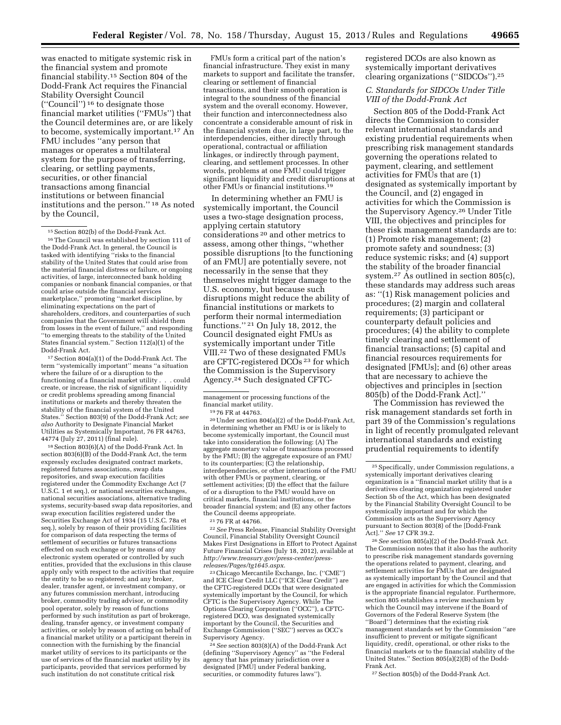was enacted to mitigate systemic risk in the financial system and promote financial stability.15 Section 804 of the Dodd-Frank Act requires the Financial Stability Oversight Council (''Council'') 16 to designate those financial market utilities (''FMUs'') that the Council determines are, or are likely to become, systemically important.17 An FMU includes ''any person that manages or operates a multilateral system for the purpose of transferring, clearing, or settling payments, securities, or other financial transactions among financial institutions or between financial institutions and the person.'' 18 As noted by the Council,

17Section 804(a)(1) of the Dodd-Frank Act. The term ''systemically important'' means ''a situation where the failure of or a disruption to the functioning of a financial market utility . . . could create, or increase, the risk of significant liquidity or credit problems spreading among financial institutions or markets and thereby threaten the stability of the financial system of the United States.'' Section 803(9) of the Dodd-Frank Act; *see also* Authority to Designate Financial Market Utilities as Systemically Important, 76 FR 44763, 44774 (July 27, 2011) (final rule).

18Section 803(6)(A) of the Dodd-Frank Act. In section 803(6)(B) of the Dodd-Frank Act, the term expressly excludes designated contract markets, registered futures associations, swap data repositories, and swap execution facilities registered under the Commodity Exchange Act (7 U.S.C. 1 et seq.), or national securities exchanges, national securities associations, alternative trading systems, security-based swap data repositories, and swap execution facilities registered under the Securities Exchange Act of 1934 (15 U.S.C. 78a et seq.), solely by reason of their providing facilities for comparison of data respecting the terms of settlement of securities or futures transactions effected on such exchange or by means of any electronic system operated or controlled by such entities, provided that the exclusions in this clause apply only with respect to the activities that require the entity to be so registered; and any broker, dealer, transfer agent, or investment company, or any futures commission merchant, introducing broker, commodity trading advisor, or commodity pool operator, solely by reason of functions performed by such institution as part of brokerage, dealing, transfer agency, or investment company activities, or solely by reason of acting on behalf of a financial market utility or a participant therein in connection with the furnishing by the financial market utility of services to its participants or the use of services of the financial market utility by its participants, provided that services performed by such institution do not constitute critical risk

FMUs form a critical part of the nation's financial infrastructure. They exist in many markets to support and facilitate the transfer, clearing or settlement of financial transactions, and their smooth operation is integral to the soundness of the financial system and the overall economy. However, their function and interconnectedness also concentrate a considerable amount of risk in the financial system due, in large part, to the interdependencies, either directly through operational, contractual or affiliation linkages, or indirectly through payment, clearing, and settlement processes. In other words, problems at one FMU could trigger significant liquidity and credit disruptions at other FMUs or financial institutions.19

In determining whether an FMU is systemically important, the Council uses a two-stage designation process, applying certain statutory considerations 20 and other metrics to assess, among other things, ''whether possible disruptions [to the functioning of an FMU] are potentially severe, not necessarily in the sense that they themselves might trigger damage to the U.S. economy, but because such disruptions might reduce the ability of financial institutions or markets to perform their normal intermediation functions.'' 21 On July 18, 2012, the Council designated eight FMUs as systemically important under Title VIII.22 Two of these designated FMUs are CFTC-registered DCOs 23 for which the Commission is the Supervisory Agency.24 Such designated CFTC-

<sup>19</sup> 76 FR at 44763.<br><sup>20</sup> Under section 804(a)(2) of the Dodd-Frank Act, in determining whether an FMU is or is likely to become systemically important, the Council must take into consideration the following: (A) The aggregate monetary value of transactions processed by the FMU; (B) the aggregate exposure of an FMU to its counterparties; (C) the relationship, interdependencies, or other interactions of the FMU with other FMUs or payment, clearing, or settlement activities;  $(D)$  the effect that the failure of or a disruption to the FMU would have on critical markets, financial institutions, or the broader financial system; and (E) any other factors the Council deems appropriate.

<sup>21</sup> 76 FR at 44766. 22*See* Press Release, Financial Stability Oversight Council, Financial Stability Oversight Council Makes First Designations in Effort to Protect Against Future Financial Crises (July 18, 2012), available at *[http://www.treasury.gov/press-center/press](http://www.treasury.gov/press-center/press-releases/Pages/tg1645.aspx)[releases/Pages/tg1645.aspx.](http://www.treasury.gov/press-center/press-releases/Pages/tg1645.aspx)* 

23Chicago Mercantile Exchange, Inc. (''CME'') and ICE Clear Credit LLC (''ICE Clear Credit'') are the CFTC-registered DCOs that were designated systemically important by the Council, for which CFTC is the Supervisory Agency. While The Options Clearing Corporation (''OCC''), a CFTCregistered DCO, was designated systemically important by the Council, the Securities and Exchange Commission (''SEC'') serves as OCC's Supervisory Agency.

24*See* section 803(8)(A) of the Dodd-Frank Act (defining ''Supervisory Agency'' as ''the Federal agency that has primary jurisdiction over a designated [FMU] under Federal banking, securities, or commodity futures laws'').

registered DCOs are also known as systemically important derivatives clearing organizations (''SIDCOs'').25

# *C. Standards for SIDCOs Under Title VIII of the Dodd-Frank Act*

Section 805 of the Dodd-Frank Act directs the Commission to consider relevant international standards and existing prudential requirements when prescribing risk management standards governing the operations related to payment, clearing, and settlement activities for FMUs that are (1) designated as systemically important by the Council, and (2) engaged in activities for which the Commission is the Supervisory Agency.26 Under Title VIII, the objectives and principles for these risk management standards are to: (1) Promote risk management; (2) promote safety and soundness; (3) reduce systemic risks; and (4) support the stability of the broader financial system.27 As outlined in section 805(c), these standards may address such areas as: ''(1) Risk management policies and procedures; (2) margin and collateral requirements; (3) participant or counterparty default policies and procedures; (4) the ability to complete timely clearing and settlement of financial transactions; (5) capital and financial resources requirements for designated [FMUs]; and (6) other areas that are necessary to achieve the objectives and principles in [section 805(b) of the Dodd-Frank Act].''

The Commission has reviewed the risk management standards set forth in part 39 of the Commission's regulations in light of recently promulgated relevant international standards and existing prudential requirements to identify

26*See* section 805(a)(2) of the Dodd-Frank Act. The Commission notes that it also has the authority to prescribe risk management standards governing the operations related to payment, clearing, and settlement activities for FMUs that are designated as systemically important by the Council and that are engaged in activities for which the Commission is the appropriate financial regulator. Furthermore, section 805 establishes a review mechanism by which the Council may intervene if the Board of Governors of the Federal Reserve System (the ''Board'') determines that the existing risk management standards set by the Commission ''are insufficient to prevent or mitigate significant liquidity, credit, operational, or other risks to the financial markets or to the financial stability of the United States.'' Section 805(a)(2)(B) of the Dodd-Frank Act.

27Section 805(b) of the Dodd-Frank Act.

<sup>15</sup>Section 802(b) of the Dodd-Frank Act. 16The Council was established by section 111 of the Dodd-Frank Act. In general, the Council is tasked with identifying ''risks to the financial stability of the United States that could arise from the material financial distress or failure, or ongoing activities, of large, interconnected bank holding companies or nonbank financial companies, or that could arise outside the financial services marketplace,'' promoting ''market discipline, by eliminating expectations on the part of shareholders, creditors, and counterparties of such companies that the Government will shield them from losses in the event of failure,'' and responding ''to emerging threats to the stability of the United States financial system.'' Section 112(a)(1) of the Dodd-Frank Act.

management or processing functions of the<br>financial market utility.

<sup>25</sup>Specifically, under Commission regulations, a systemically important derivatives clearing organization is a ''financial market utility that is a derivatives clearing organization registered under Section 5b of the Act, which has been designated by the Financial Stability Oversight Council to be systemically important and for which the Commission acts as the Supervisory Agency pursuant to Section 803(8) of the [Dodd-Frank Act].'' *See* 17 CFR 39.2.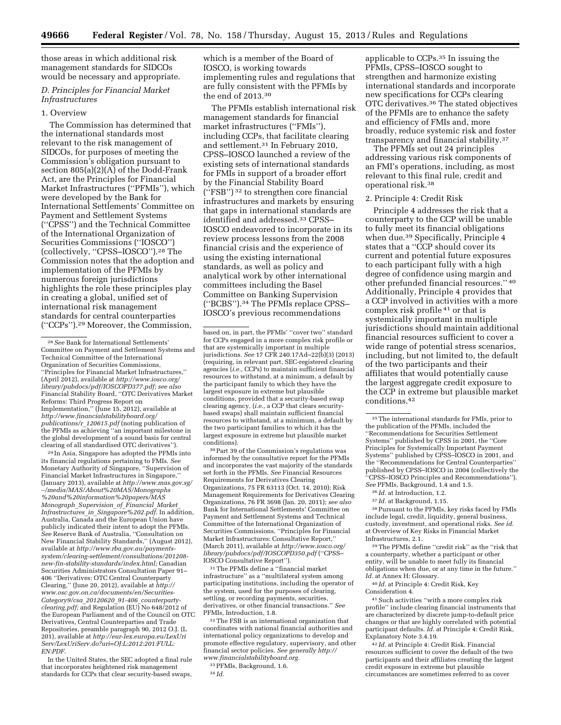those areas in which additional risk management standards for SIDCOs would be necessary and appropriate.

# *D. Principles for Financial Market Infrastructures*

## 1. Overview

The Commission has determined that the international standards most relevant to the risk management of SIDCOs, for purposes of meeting the Commission's obligation pursuant to section 805(a)(2)(A) of the Dodd-Frank Act, are the Principles for Financial Market Infrastructures (''PFMIs''), which were developed by the Bank for International Settlements' Committee on Payment and Settlement Systems (''CPSS'') and the Technical Committee of the International Organization of Securities Commissions (''IOSCO'') (collectively, ''CPSS–IOSCO'').28 The Commission notes that the adoption and implementation of the PFMIs by numerous foreign jurisdictions highlights the role these principles play in creating a global, unified set of international risk management standards for central counterparties (''CCPs'').29 Moreover, the Commission,

29 In Asia, Singapore has adopted the PFMIs into its financial regulations pertaining to FMIs. *See*  Monetary Authority of Singapore, ''Supervision of Financial Market Infrastructures in Singapore,'' (January 2013), available at *[http://www.mas.gov.sg/](http://www.mas.gov.sg/~/media/MAS/About%20MAS/Monographs%20and%20information%20papers/MASMonograph_Supervision_of_Financial_Market_Infrastructures_in_Singapore%202.pdf)*  ∼*[/media/MAS/About%20MAS/Monographs](http://www.mas.gov.sg/~/media/MAS/About%20MAS/Monographs%20and%20information%20papers/MASMonograph_Supervision_of_Financial_Market_Infrastructures_in_Singapore%202.pdf) [%20and%20information%20papers/MAS](http://www.mas.gov.sg/~/media/MAS/About%20MAS/Monographs%20and%20information%20papers/MASMonograph_Supervision_of_Financial_Market_Infrastructures_in_Singapore%202.pdf) Monograph*\_*[Supervision](http://www.mas.gov.sg/~/media/MAS/About%20MAS/Monographs%20and%20information%20papers/MASMonograph_Supervision_of_Financial_Market_Infrastructures_in_Singapore%202.pdf)*\_*of*\_*Financial*\_*Market*\_ *Infrastructures*\_*in*\_*[Singapore%202.pdf](http://www.mas.gov.sg/~/media/MAS/About%20MAS/Monographs%20and%20information%20papers/MASMonograph_Supervision_of_Financial_Market_Infrastructures_in_Singapore%202.pdf)*. In addition, Australia, Canada and the European Union have publicly indicated their intent to adopt the PFMIs. *See* Reserve Bank of Australia, ''Consultation on New Financial Stability Standards,'' (August 2012), available at *[http://www.rba.gov.au/payments](http://www.rba.gov.au/payments-system/clearing-settlement/consultations/201208-new-fin-stability-standards/index.html)[system/clearing-settlement/consultations/201208](http://www.rba.gov.au/payments-system/clearing-settlement/consultations/201208-new-fin-stability-standards/index.html) [new-fin-stability-standards/index.html;](http://www.rba.gov.au/payments-system/clearing-settlement/consultations/201208-new-fin-stability-standards/index.html)* Canadian Securities Administrators Consultation Paper 91– 406 ''Derivatives: OTC Central Counterparty Clearing,'' (June 20, 2012), available at *[http://](http://www.osc.gov.on.ca/documents/en/Securities-Category9/csa_20120620_91-406_counterparty-clearing.pdf)  [www.osc.gov.on.ca/documents/en/Securities-](http://www.osc.gov.on.ca/documents/en/Securities-Category9/csa_20120620_91-406_counterparty-clearing.pdf)[Category9/csa](http://www.osc.gov.on.ca/documents/en/Securities-Category9/csa_20120620_91-406_counterparty-clearing.pdf)*\_*20120620*\_*91-406*\_*counterparty[clearing.pdf;](http://www.osc.gov.on.ca/documents/en/Securities-Category9/csa_20120620_91-406_counterparty-clearing.pdf)* and Regulation (EU) No 648/2012 of the European Parliament and of the Council on OTC Derivatives, Central Counterparties and Trade Repositories, preamble paragraph 90, 2012 O.J. (L 201), available at *[http://eur-lex.europa.eu/LexUri](http://eur-lex.europa.eu/LexUriServ/LexUriServ.do?uri=OJ:L:2012:201:FULL:EN:PDF) [Serv/LexUriServ.do?uri=OJ:L:2012:201:FULL:](http://eur-lex.europa.eu/LexUriServ/LexUriServ.do?uri=OJ:L:2012:201:FULL:EN:PDF) [EN:PDF](http://eur-lex.europa.eu/LexUriServ/LexUriServ.do?uri=OJ:L:2012:201:FULL:EN:PDF)*.

In the United States, the SEC adopted a final rule that incorporates heightened risk management standards for CCPs that clear security-based swaps,

which is a member of the Board of IOSCO, is working towards implementing rules and regulations that are fully consistent with the PFMIs by the end of 2013.30

The PFMIs establish international risk management standards for financial market infrastructures (''FMIs''), including CCPs, that facilitate clearing and settlement.31 In February 2010, CPSS–IOSCO launched a review of the existing sets of international standards for FMIs in support of a broader effort by the Financial Stability Board (''FSB'') 32 to strengthen core financial infrastructures and markets by ensuring that gaps in international standards are identified and addressed.33 CPSS– IOSCO endeavored to incorporate in its review process lessons from the 2008 financial crisis and the experience of using the existing international standards, as well as policy and analytical work by other international committees including the Basel Committee on Banking Supervision (''BCBS'').34 The PFMIs replace CPSS– IOSCO's previous recommendations

30Part 39 of the Commission's regulations was informed by the consultative report for the PFMIs and incorporates the vast majority of the standards set forth in the PFMIs. *See* Financial Resources Requirements for Derivatives Clearing Organizations, 75 FR 63113 (Oct. 14, 2010); Risk Management Requirements for Derivatives Clearing Organizations, 76 FR 3698 (Jan. 20, 2011); *see also*  Bank for International Settlements' Committee on Payment and Settlement Systems and Technical Committee of the International Organization of Securities Commissions, ''Principles for Financial Market Infrastructures: Consultative Report,'' (March 2011), available at *[http://www.iosco.org/](http://www.iosco.org/library/pubdocs/pdf/IOSCOPD350.pdf) [library/pubdocs/pdf/IOSCOPD350.pdf](http://www.iosco.org/library/pubdocs/pdf/IOSCOPD350.pdf)* (''CPSS– IOSCO Consultative Report'').

31The PFMIs define a ''financial market infrastructure'' as a ''multilateral system among participating institutions, including the operator of the system, used for the purposes of clearing, settling, or recording payments, securities, derivatives, or other financial transactions.'' *See*  PFMIs, Introduction, 1.8.

32The FSB is an international organization that coordinates with national financial authorities and international policy organizations to develop and promote effective regulatory, supervisory, and other financial sector policies. *See generally [http://](http://www.financialstabilityboard.org)  [www.financialstabilityboard.org.](http://www.financialstabilityboard.org)* 

applicable to CCPs.35 In issuing the PFMIs, CPSS–IOSCO sought to strengthen and harmonize existing international standards and incorporate new specifications for CCPs clearing OTC derivatives.36 The stated objectives of the PFMIs are to enhance the safety and efficiency of FMIs and, more broadly, reduce systemic risk and foster transparency and financial stability.37

The PFMIs set out 24 principles addressing various risk components of an FMI's operations, including, as most relevant to this final rule, credit and operational risk.38

#### 2. Principle 4: Credit Risk

Principle 4 addresses the risk that a counterparty to the CCP will be unable to fully meet its financial obligations when due.39 Specifically, Principle 4 states that a ''CCP should cover its current and potential future exposures to each participant fully with a high degree of confidence using margin and other prefunded financial resources.'' 40 Additionally, Principle 4 provides that a CCP involved in activities with a more complex risk profile 41 or that is systemically important in multiple jurisdictions should maintain additional financial resources sufficient to cover a wide range of potential stress scenarios, including, but not limited to, the default of the two participants and their affiliates that would potentially cause the largest aggregate credit exposure to the CCP in extreme but plausible market conditions.42

 $^{\rm 38}\!$  Pursuant to the PFMIs, key risks faced by FMIs include legal, credit, liquidity, general business, custody, investment, and operational risks. *See id.*  at Overview of Key Risks in Financial Market Infrastructures, 2.1.

39The PFMIs define ''credit risk'' as the ''risk that a counterparty, whether a participant or other entity, will be unable to meet fully its financial obligations when due, or at any time in the future.'' *Id.* at Annex H: Glossary.

40 *Id.* at Principle 4: Credit Risk, Key Consideration 4.

41Such activities ''with a more complex risk profile'' include clearing financial instruments that are characterized by discrete jump-to-default price changes or that are highly correlated with potential participant defaults. *Id.* at Principle 4: Credit Risk, Explanatory Note 3.4.19.

42 *Id.* at Principle 4: Credit Risk. Financial resources sufficient to cover the default of the two participants and their affiliates creating the largest credit exposure in extreme but plausible circumstances are sometimes referred to as cover

<sup>28</sup>*See* Bank for International Settlements' Committee on Payment and Settlement Systems and Technical Committee of the International Organization of Securities Commissions, ''Principles for Financial Market Infrastructures,'' (April 2012), available at *[http://www.iosco.org/](http://www.iosco.org/library/pubdocs/pdf/IOSCOPD377.pdf) [library/pubdocs/pdf/IOSCOPD377.pdf;](http://www.iosco.org/library/pubdocs/pdf/IOSCOPD377.pdf) see also*  Financial Stability Board, ''OTC Derivatives Market Reforms: Third Progress Report on Implementation,'' (June 15, 2012), available at *[http://www.financialstabilityboard.org/](http://www.financialstabilityboard.org/publications/r_120615.pdf) [publications/r](http://www.financialstabilityboard.org/publications/r_120615.pdf)*\_*120615.pdf* (noting publication of the PFMIs as achieving ''an important milestone in the global development of a sound basis for central clearing of all standardised OTC derivatives'').

based on, in part, the PFMIs' ''cover two'' standard for CCPs engaged in a more complex risk profile or that are systemically important in multiple jurisdictions. *See* 17 CFR 240.17Ad–22(b)(3) (2013) (requiring, in relevant part, SEC-registered clearing agencies (*i.e.,* CCPs) to maintain sufficient financial resources to withstand, at a minimum, a default by the participant family to which they have the largest exposure in extreme but plausible conditions, provided that a security-based swap clearing agency, (*i.e.,* a CCP that clears securitybased swaps) shall maintain sufficient financial resources to withstand, at a minimum, a default by the two participant families to which it has the largest exposure in extreme but plausible market conditions).

<sup>33</sup>PFMIs, Background, 1.6.

<sup>34</sup> *Id.* 

<sup>35</sup>The international standards for FMIs, prior to the publication of the PFMIs, included the ''Recommendations for Securities Settlement Systems'' published by CPSS in 2001, the ''Core Principles for Systemically Important Payment Systems'' published by CPSS–IOSCO in 2001, and the ''Recommendations for Central Counterparties'' published by CPSS–IOSCO in 2004 (collectively the ''CPSS–IOSCO Principles and Recommendations''). *See* PFMIs, Background, 1.4 and 1.5.

<sup>36</sup> *Id.* at Introduction, 1.2.

<sup>37</sup> *Id.* at Background, 1.15.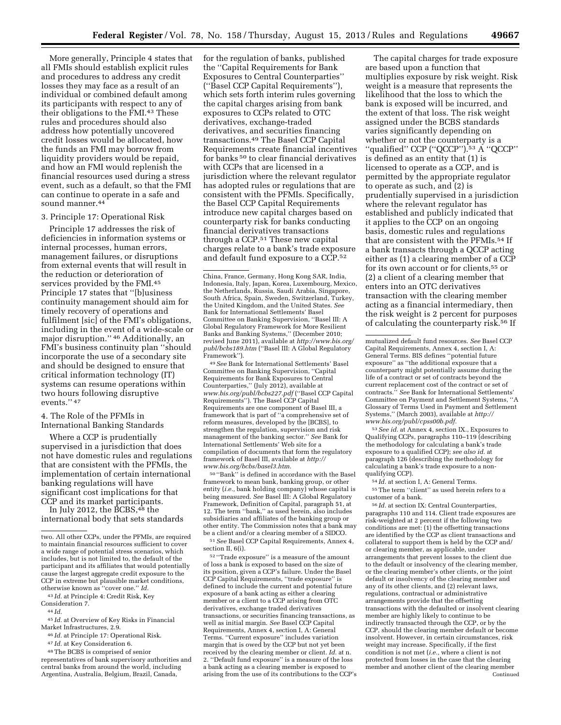More generally, Principle 4 states that all FMIs should establish explicit rules and procedures to address any credit losses they may face as a result of an individual or combined default among its participants with respect to any of their obligations to the FMI.43 These rules and procedures should also address how potentially uncovered credit losses would be allocated, how the funds an FMI may borrow from liquidity providers would be repaid, and how an FMI would replenish the financial resources used during a stress event, such as a default, so that the FMI can continue to operate in a safe and sound manner.<sup>44</sup>

#### 3. Principle 17: Operational Risk

Principle 17 addresses the risk of deficiencies in information systems or internal processes, human errors, management failures, or disruptions from external events that will result in the reduction or deterioration of services provided by the FMI.45 Principle 17 states that ''[b]usiness continuity management should aim for timely recovery of operations and fulfilment [sic] of the FMI's obligations, including in the event of a wide-scale or major disruption.'' 46 Additionally, an FMI's business continuity plan ''should incorporate the use of a secondary site and should be designed to ensure that critical information technology (IT) systems can resume operations within two hours following disruptive events.'' 47

4. The Role of the PFMIs in International Banking Standards

Where a CCP is prudentially supervised in a jurisdiction that does not have domestic rules and regulations that are consistent with the PFMIs, the implementation of certain international banking regulations will have significant cost implications for that CCP and its market participants.

In July 2012, the BCBS,48 the international body that sets standards

43 *Id.* at Principle 4: Credit Risk, Key

45 *Id.* at Overview of Key Risks in Financial Market Infrastructures, 2.9.

46 *Id.* at Principle 17: Operational Risk.

48The BCBS is comprised of senior representatives of bank supervisory authorities and central banks from around the world, including Argentina, Australia, Belgium, Brazil, Canada,

for the regulation of banks, published the ''Capital Requirements for Bank Exposures to Central Counterparties'' (''Basel CCP Capital Requirements''), which sets forth interim rules governing the capital charges arising from bank exposures to CCPs related to OTC derivatives, exchange-traded derivatives, and securities financing transactions.49 The Basel CCP Capital Requirements create financial incentives for banks 50 to clear financial derivatives with CCPs that are licensed in a jurisdiction where the relevant regulator has adopted rules or regulations that are consistent with the PFMIs. Specifically, the Basel CCP Capital Requirements introduce new capital charges based on counterparty risk for banks conducting financial derivatives transactions through a CCP.51 These new capital charges relate to a bank's trade exposure and default fund exposure to a CCP.52

China, France, Germany, Hong Kong SAR, India, Indonesia, Italy, Japan, Korea, Luxembourg, Mexico, the Netherlands, Russia, Saudi Arabia, Singapore, South Africa, Spain, Sweden, Switzerland, Turkey, the United Kingdom, and the United States. *See*  Bank for International Settlements' Basel Committee on Banking Supervision, ''Basel III: A Global Regulatory Framework for More Resilient Banks and Banking Systems,'' (December 2010; revised June 2011), available at *[http://www.bis.org/](http://www.bis.org/publ/bcbs189.htm) [publ/bcbs189.htm](http://www.bis.org/publ/bcbs189.htm)* (''Basel III: A Global Regulatory Framework'').

49*See* Bank for International Settlements' Basel Committee on Banking Supervision, ''Capital Requirements for Bank Exposures to Central Counterparties,'' (July 2012), available at *[www.bis.org/publ/bcbs227.pdf](http://www.bis.org/publ/bcbs227.pdf)* (''Basel CCP Capital Requirements''). The Basel CCP Capital Requirements are one component of Basel III, a framework that is part of ''a comprehensive set of reform measures, developed by the [BCBS], to strengthen the regulation, supervision and risk management of the banking sector.'' *See* Bank for International Settlements' Web site for a compilation of documents that form the regulatory framework of Basel III, available at *[http://](http://www.bis.org/bcbs/basel3.htm)  [www.bis.org/bcbs/basel3.htm.](http://www.bis.org/bcbs/basel3.htm)* 

50 ''Bank'' is defined in accordance with the Basel framework to mean bank, banking group, or other entity (*i.e.,* bank holding company) whose capital is being measured. *See* Basel III: A Global Regulatory Framework, Definition of Capital, paragraph 51, at 12. The term ''bank,'' as used herein, also includes subsidiaries and affiliates of the banking group or other entity. The Commission notes that a bank may be a client and/or a clearing member of a SIDCO.

51*See* Basel CCP Capital Requirements, Annex 4, section II, 6(i).

 $^{\rm 52\, \prime\prime}$  Trade exposure'' is a measure of the amount of loss a bank is exposed to based on the size of its position, given a CCP's failure. Under the Basel CCP Capital Requirements, ''trade exposure'' is defined to include the current and potential future exposure of a bank acting as either a clearing member or a client to a CCP arising from OTC derivatives, exchange traded derivatives transactions, or securities financing transactions, as well as initial margin. *See* Basel CCP Capital Requirements, Annex 4, section I, A: General Terms. ''Current exposure'' includes variation margin that is owed by the CCP but not yet been received by the clearing member or client. *Id.* at n. 2. ''Default fund exposure'' is a measure of the loss a bank acting as a clearing member is exposed to arising from the use of its contributions to the CCP's

The capital charges for trade exposure are based upon a function that multiplies exposure by risk weight. Risk weight is a measure that represents the likelihood that the loss to which the bank is exposed will be incurred, and the extent of that loss. The risk weight assigned under the BCBS standards varies significantly depending on whether or not the counterparty is a ''qualified'' CCP (''QCCP'').53 A ''QCCP'' is defined as an entity that (1) is licensed to operate as a CCP, and is permitted by the appropriate regulator to operate as such, and (2) is prudentially supervised in a jurisdiction where the relevant regulator has established and publicly indicated that it applies to the CCP on an ongoing basis, domestic rules and regulations that are consistent with the PFMIs.54 If a bank transacts through a QCCP acting either as (1) a clearing member of a CCP for its own account or for clients,55 or (2) a client of a clearing member that enters into an OTC derivatives transaction with the clearing member acting as a financial intermediary, then the risk weight is 2 percent for purposes of calculating the counterparty risk.56 If

53*See id.* at Annex 4, section IX., Exposures to Qualifying CCPs, paragraphs 110–119 (describing the methodology for calculating a bank's trade exposure to a qualified CCP); *see also id.* at paragraph 126 (describing the methodology for calculating a bank's trade exposure to a nonqualifying CCP).

54 *Id.* at section I, A: General Terms.

55The term ''client'' as used herein refers to a customer of a bank.

56 *Id.* at section IX: Central Counterparties, paragraphs 110 and 114. Client trade exposures are risk-weighted at 2 percent if the following two conditions are met: (1) the offsetting transactions are identified by the CCP as client transactions and collateral to support them is held by the CCP and/ or clearing member, as applicable, under arrangements that prevent losses to the client due to the default or insolvency of the clearing member, or the clearing member's other clients, or the joint default or insolvency of the clearing member and any of its other clients, and (2) relevant laws, regulations, contractual or administrative arrangements provide that the offsetting transactions with the defaulted or insolvent clearing member are highly likely to continue to be indirectly transacted through the CCP, or by the CCP, should the clearing member default or become insolvent. However, in certain circumstances, risk weight may increase. Specifically, if the first condition is not met (*i.e.,* where a client is not protected from losses in the case that the clearing member and another client of the clearing member Continued

two. All other CCPs, under the PFMIs, are required to maintain financial resources sufficient to cover a wide range of potential stress scenarios, which includes, but is not limited to, the default of the participant and its affiliates that would potentially cause the largest aggregate credit exposure to the CCP in extreme but plausible market conditions, otherwise known as ''cover one.'' *Id.* 

Consideration 7.

<sup>44</sup> *Id.* 

<sup>47</sup> *Id.* at Key Consideration 6.

mutualized default fund resources. *See* Basel CCP Capital Requirements, Annex 4, section I, A: General Terms. BIS defines ''potential future exposure'' as ''the additional exposure that a counterparty might potentially assume during the life of a contract or set of contracts beyond the current replacement cost of the contract or set of contracts.'' *See* Bank for International Settlements' Committee on Payment and Settlement Systems, ''A Glossary of Terms Used in Payment and Settlement Systems,'' (March 2003), available at *[http://](http://www.bis.org/publ/cpss00b.pdf)  [www.bis.org/publ/cpss00b.pdf.](http://www.bis.org/publ/cpss00b.pdf)*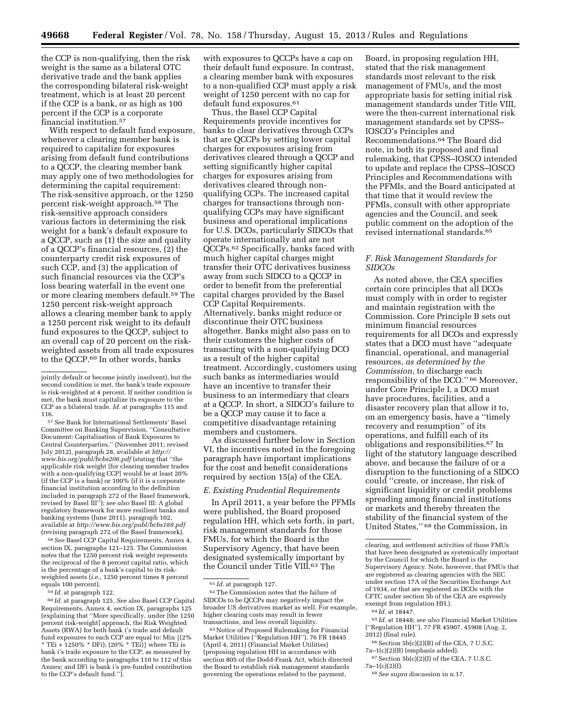the CCP is non-qualifying, then the risk weight is the same as a bilateral OTC derivative trade and the bank applies the corresponding bilateral risk-weight treatment, which is at least 20 percent if the CCP is a bank, or as high as 100 percent if the CCP is a corporate financial institution.57

With respect to default fund exposure, whenever a clearing member bank is required to capitalize for exposures arising from default fund contributions to a QCCP, the clearing member bank may apply one of two methodologies for determining the capital requirement: The risk-sensitive approach, or the 1250 percent risk-weight approach.58 The risk-sensitive approach considers various factors in determining the risk weight for a bank's default exposure to a QCCP, such as (1) the size and quality of a QCCP's financial resources, (2) the counterparty credit risk exposures of such CCP, and (3) the application of such financial resources via the CCP's loss bearing waterfall in the event one or more clearing members default.59 The 1250 percent risk-weight approach allows a clearing member bank to apply a 1250 percent risk weight to its default fund exposures to the QCCP, subject to an overall cap of 20 percent on the riskweighted assets from all trade exposures to the QCCP.60 In other words, banks

57*See* Bank for International Settlements' Basel Committee on Banking Supervision, ''Consultative Document: Capitalisation of Bank Exposures to Central Counterparties,'' (November 2011; revised July 2012), paragraph 28, available at *[http://](http://www.bis.org/publ/bcbs206.pdf) [www.bis.org/publ/bcbs206.pdf](http://www.bis.org/publ/bcbs206.pdf)* (stating that ''the applicable risk weight [for clearing member trades with a non-qualifying CCP] would be at least 20% (if the CCP is a bank) or 100% (if it is a corporate financial institution according to the definition included in paragraph 272 of the Basel framework, revised by Basel III''); *see also* Basel III: A global regulatory framework for more resilient banks and banking systems (June 2011), paragraph 102, available at *<http://www.bis.org/publ/bcbs189.pdf>*  (revising paragraph 272 of the Basel framework).

58*See* Basel CCP Capital Requirements, Annex 4, section IX, paragraphs 121–125. The Commission notes that the 1250 percent risk weight represents the reciprocal of the 8 percent capital ratio, which is the percentage of a bank's capital to its riskweighted assets (*i.e.,* 1250 percent times 8 percent equals 100 percent).

59 *Id.* at paragraph 122.

60 *Id.* at paragraph 125. *See* also Basel CCP Capital Requirements, Annex 4, section IX, paragraphs 125 (explaining that ''More specifically, under [the 1250 percent risk-weight] approach, the Risk Weighted Assets (RWA) for both bank i's trade and default fund exposures to each CCP are equal to: Min {(2% \* TEi + 1250% \* DFi);  $(20\%$  \* TEi)} where TEi is bank i's trade exposure to the CCP, as measured by the bank according to paragraphs 110 to 112 of this Annex; and DFi is bank i's pre-funded contribution to the CCP's default fund.'').

with exposures to QCCPs have a cap on their default fund exposure. In contrast, a clearing member bank with exposures to a non-qualified CCP must apply a risk weight of 1250 percent with no cap for default fund exposures.<sup>61</sup>

Thus, the Basel CCP Capital Requirements provide incentives for banks to clear derivatives through CCPs that are QCCPs by setting lower capital charges for exposures arising from derivatives cleared through a QCCP and setting significantly higher capital charges for exposures arising from derivatives cleared through nonqualifying CCPs. The increased capital charges for transactions through nonqualifying CCPs may have significant business and operational implications for U.S. DCOs, particularly SIDCOs that operate internationally and are not QCCPs.62 Specifically, banks faced with much higher capital charges might transfer their OTC derivatives business away from such SIDCO to a QCCP in order to benefit from the preferential capital charges provided by the Basel CCP Capital Requirements. Alternatively, banks might reduce or discontinue their OTC business altogether. Banks might also pass on to their customers the higher costs of transacting with a non-qualifying DCO as a result of the higher capital treatment. Accordingly, customers using such banks as intermediaries would have an incentive to transfer their business to an intermediary that clears at a QCCP. In short, a SIDCO's failure to be a QCCP may cause it to face a competitive disadvantage retaining members and customers.

As discussed further below in Section VI, the incentives noted in the foregoing paragraph have important implications for the cost and benefit considerations required by section 15(a) of the CEA.

## *E. Existing Prudential Requirements*

In April 2011, a year before the PFMIs were published, the Board proposed regulation HH, which sets forth, in part, risk management standards for those FMUs, for which the Board is the Supervisory Agency, that have been designated systemically important by the Council under Title VIII.63 The

63Notice of Proposed Rulemaking for Financial Market Utilities (''Regulation HH''), 76 FR 18445 (April 4, 2011) (Financial Market Utilities) (proposing regulation HH in accordance with section 805 of the Dodd-Frank Act, which directed the Board to establish risk management standards governing the operations related to the payment,

Board, in proposing regulation HH, stated that the risk management standards most relevant to the risk management of FMUs, and the most appropriate basis for setting initial risk management standards under Title VIII, were the then-current international risk management standards set by CPSS– IOSCO's Principles and Recommendations.64 The Board did note, in both its proposed and final rulemaking, that CPSS–IOSCO intended to update and replace the CPSS–IOSCO Principles and Recommendations with the PFMIs, and the Board anticipated at that time that it would review the PFMIs, consult with other appropriate agencies and the Council, and seek public comment on the adoption of the revised international standards.65

## *F. Risk Management Standards for SIDCOs*

As noted above, the CEA specifies certain core principles that all DCOs must comply with in order to register and maintain registration with the Commission. Core Principle B sets out minimum financial resources requirements for all DCOs and expressly states that a DCO must have ''adequate financial, operational, and managerial resources, *as determined by the Commission,* to discharge each responsibility of the DCO.'' 66 Moreover, under Core Principle I, a DCO must have procedures, facilities, and a disaster recovery plan that allow it to, on an emergency basis, have a ''timely recovery and resumption'' of its operations, and fulfill each of its obligations and responsibilities.67 In light of the statutory language described above, and because the failure of or a disruption to the functioning of a SIDCO could ''create, or increase, the risk of significant liquidity or credit problems spreading among financial institutions or markets and thereby threaten the stability of the financial system of the United States,'' 68 the Commission, in

- $66$  Section  $5b(c)(2)(B)$  of the CEA, 7 U.S.C. 7a–1(c)(2)(B) (emphasis added).
- $^{67}$  Section 5b(c)(2)(I) of the CEA, 7 U.S.C. 7a–1(c)(2)(I).

jointly default or become jointly insolvent), but the second condition is met, the bank's trade exposure is risk-weighted at 4 percent. If neither condition is met, the bank must capitalize its exposure to the CCP as a bilateral trade. *Id.* at paragraphs 115 and 116.

<sup>61</sup> *Id.* at paragraph 127.

<sup>62</sup>The Commission notes that the failure of SIDCOs to be QCCPs may negatively impact the broader US derivatives market as well. For example, higher clearing costs may result in fewer transactions, and less overall liquidity.

clearing, and settlement activities of those FMUs that have been designated as systemically important by the Council for which the Board is the Supervisory Agency. Note, however, that FMUs that are registered as clearing agencies with the SEC under section 17A of the Securities Exchange Act of 1934, or that are registered as DCOs with the CFTC under section 5b of the CEA are expressly exempt from regulation HH.).

<sup>64</sup> *Id.* at 18447.

<sup>65</sup> *Id.* at 18448; *see also* Financial Market Utilities (''Regulation HH''), 77 FR 45907, 45908 (Aug. 2, 2012) (final rule).

<sup>68</sup>*See supra* discussion in n.17.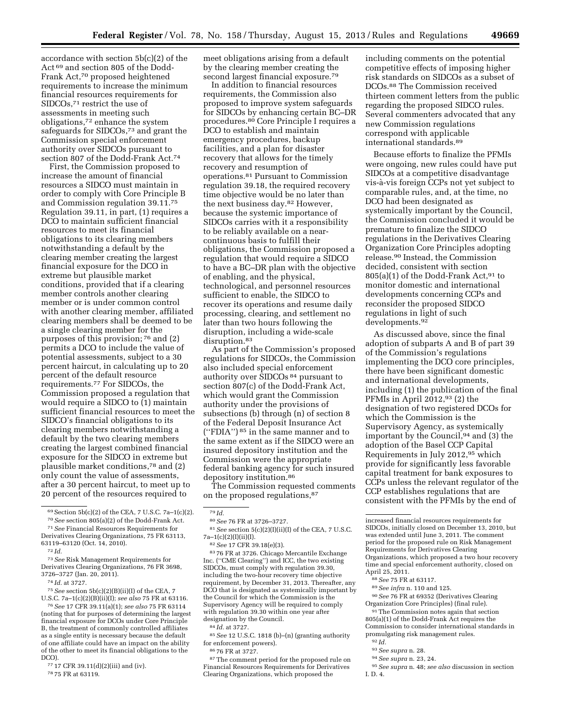accordance with section 5b(c)(2) of the Act 69 and section 805 of the Dodd-Frank Act,70 proposed heightened requirements to increase the minimum financial resources requirements for SIDCOs,71 restrict the use of assessments in meeting such obligations,72 enhance the system safeguards for SIDCOs,73 and grant the Commission special enforcement authority over SIDCOs pursuant to section 807 of the Dodd-Frank Act.74

First, the Commission proposed to increase the amount of financial resources a SIDCO must maintain in order to comply with Core Principle B and Commission regulation 39.11.75 Regulation 39.11, in part, (1) requires a DCO to maintain sufficient financial resources to meet its financial obligations to its clearing members notwithstanding a default by the clearing member creating the largest financial exposure for the DCO in extreme but plausible market conditions, provided that if a clearing member controls another clearing member or is under common control with another clearing member, affiliated clearing members shall be deemed to be a single clearing member for the purposes of this provision; 76 and (2) permits a DCO to include the value of potential assessments, subject to a 30 percent haircut, in calculating up to 20 percent of the default resource requirements.77 For SIDCOs, the Commission proposed a regulation that would require a SIDCO to (1) maintain sufficient financial resources to meet the SIDCO's financial obligations to its clearing members notwithstanding a default by the two clearing members creating the largest combined financial exposure for the SIDCO in extreme but plausible market conditions,78 and (2) only count the value of assessments, after a 30 percent haircut, to meet up to 20 percent of the resources required to

76*See* 17 CFR 39.11(a)(1); *see also* 75 FR 63114 (noting that for purposes of determining the largest financial exposure for DCOs under Core Principle B, the treatment of commonly controlled affiliates as a single entity is necessary because the default of one affiliate could have an impact on the ability of the other to meet its financial obligations to the DCO).

77 17 CFR 39.11(d)(2)(iii) and (iv).

78 75 FR at 63119.

meet obligations arising from a default by the clearing member creating the second largest financial exposure.79

In addition to financial resources requirements, the Commission also proposed to improve system safeguards for SIDCOs by enhancing certain BC–DR procedures.<sup>80</sup> Core Principle I requires a DCO to establish and maintain emergency procedures, backup facilities, and a plan for disaster recovery that allows for the timely recovery and resumption of operations.81 Pursuant to Commission regulation 39.18, the required recovery time objective would be no later than the next business day.82 However, because the systemic importance of SIDCOs carries with it a responsibility to be reliably available on a nearcontinuous basis to fulfill their obligations, the Commission proposed a regulation that would require a SIDCO to have a BC–DR plan with the objective of enabling, and the physical, technological, and personnel resources sufficient to enable, the SIDCO to recover its operations and resume daily processing, clearing, and settlement no later than two hours following the disruption, including a wide-scale disruption.<sup>83</sup>

As part of the Commission's proposed regulations for SIDCOs, the Commission also included special enforcement authority over SIDCOs 84 pursuant to section 807(c) of the Dodd-Frank Act, which would grant the Commission authority under the provisions of subsections (b) through (n) of section 8 of the Federal Deposit Insurance Act (''FDIA'') 85 in the same manner and to the same extent as if the SIDCO were an insured depository institution and the Commission were the appropriate federal banking agency for such insured depository institution.86

The Commission requested comments on the proposed regulations, 87

83 76 FR at 3726. Chicago Mercantile Exchange Inc. (''CME Clearing'') and ICC, the two existing SIDCOs, must comply with regulation 39.30, including the two-hour recovery time objective requirement, by December 31, 2013. Thereafter, any DCO that is designated as systemically important by the Council for which the Commission is the Supervisory Agency will be required to comply with regulation 39.30 within one year after designation by the Council.

85*See* 12 U.S.C. 1818 (b)–(n) (granting authority for enforcement powers).

86 76 FR at 3727.

<sup>87</sup>The comment period for the proposed rule on Financial Resources Requirements for Derivatives Clearing Organizations, which proposed the

including comments on the potential competitive effects of imposing higher risk standards on SIDCOs as a subset of DCOs.88 The Commission received thirteen comment letters from the public regarding the proposed SIDCO rules. Several commenters advocated that any new Commission regulations correspond with applicable international standards.89

Because efforts to finalize the PFMIs were ongoing, new rules could have put SIDCOs at a competitive disadvantage vis-a`-vis foreign CCPs not yet subject to comparable rules, and, at the time, no DCO had been designated as systemically important by the Council, the Commission concluded it would be premature to finalize the SIDCO regulations in the Derivatives Clearing Organization Core Principles adopting release.90 Instead, the Commission decided, consistent with section  $805(a)(1)$  of the Dodd-Frank Act,  $91$  to monitor domestic and international developments concerning CCPs and reconsider the proposed SIDCO regulations in light of such developments.<sup>92</sup>

As discussed above, since the final adoption of subparts A and B of part 39 of the Commission's regulations implementing the DCO core principles, there have been significant domestic and international developments, including (1) the publication of the final PFMIs in April 2012,  $93$  (2) the designation of two registered DCOs for which the Commission is the Supervisory Agency, as systemically important by the Council,94 and (3) the adoption of the Basel CCP Capital Requirements in July 2012,95 which provide for significantly less favorable capital treatment for bank exposures to CCPs unless the relevant regulator of the CCP establishes regulations that are consistent with the PFMIs by the end of

89*See infra* n. 110 and 125.

90*See* 76 FR at 69352 (Derivatives Clearing Organization Core Principles) (final rule). 91The Commission notes again that section

805(a)(1) of the Dodd-Frank Act requires the Commission to consider international standards in promulgating risk management rules.

- 92 *Id.*
- 93*See supra* n. 28.
- 94*See supra* n. 23, 24.

<sup>69</sup>Section 5b(c)(2) of the CEA, 7 U.S.C. 7a–1(c)(2). 70*See* section 805(a)(2) of the Dodd-Frank Act.

<sup>71</sup>*See* Financial Resources Requirements for

Derivatives Clearing Organizations, 75 FR 63113, 63119–63120 (Oct. 14, 2010). 72 *Id.* 

<sup>73</sup>*See* Risk Management Requirements for Derivatives Clearing Organizations, 76 FR 3698, 3726–3727 (Jan. 20, 2011).

<sup>74</sup> *Id.* at 3727.

<sup>75</sup>*See* section 5b(c)(2)(B)(ii)(I) of the CEA, 7 U.S.C. 7a–1(c)(2)(B)(ii)(I); *see also* 75 FR at 63116.

<sup>79</sup> *Id.* 

<sup>80</sup>*See* 76 FR at 3726–3727.

 $^{81}See$  section 5(c)(2)(I)(ii)(I) of the CEA, 7 U.S.C. 7a–1(c)(2)(I)(ii)(I).

<sup>82</sup>*See* 17 CFR 39.18(e)(3).

<sup>84</sup> *Id.* at 3727.

increased financial resources requirements for SIDCOs, initially closed on December 13, 2010, but was extended until June 3, 2011. The comment period for the proposed rule on Risk Management Requirements for Derivatives Clearing Organizations, which proposed a two hour recovery time and special enforcement authority, closed on April 25, 2011.

<sup>88</sup>*See* 75 FR at 63117.

<sup>95</sup>*See supra* n. 48; *see also* discussion in section I. D. 4.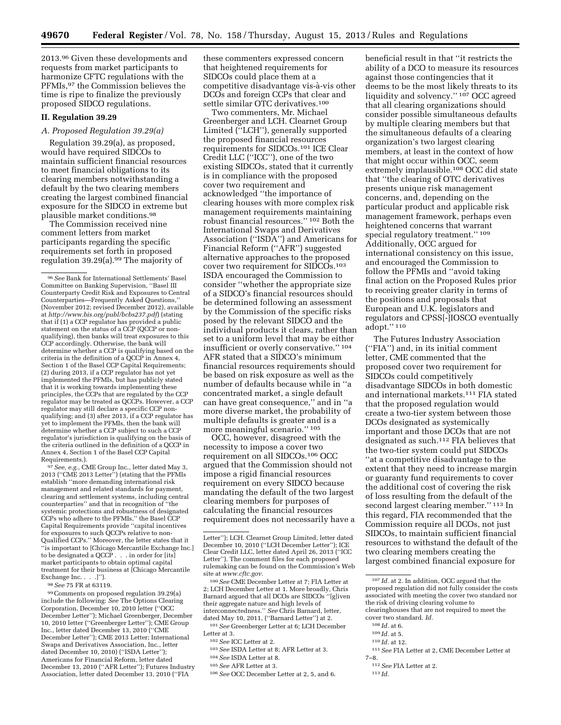2013.96 Given these developments and requests from market participants to harmonize CFTC regulations with the PFMIs,97 the Commission believes the time is ripe to finalize the previously proposed SIDCO regulations.

#### **II. Regulation 39.29**

# *A. Proposed Regulation 39.29(a)*

Regulation 39.29(a), as proposed, would have required SIDCOs to maintain sufficient financial resources to meet financial obligations to its clearing members notwithstanding a default by the two clearing members creating the largest combined financial exposure for the SIDCO in extreme but plausible market conditions.98

The Commission received nine comment letters from market participants regarding the specific requirements set forth in proposed regulation 39.29(a).99 The majority of

97*See, e.g.,* CME Group Inc., letter dated May 3, 2013 (''CME 2013 Letter'') (stating that the PFMIs establish ''more demanding international risk management and related standards for payment, clearing and settlement systems, including central counterparties'' and that in recognition of ''the systemic protections and robustness of designated CCPs who adhere to the PFMIs,'' the Basel CCP Capital Requirements provide ''capital incentives for exposures to such QCCPs relative to non-Qualified CCPs.'' Moreover, the letter states that it ''is important to [Chicago Mercantile Exchange Inc.] to be designated a QCCP . . . in order for [its] market participants to obtain optimal capital treatment for their business at [Chicago Mercantile Exchange Inc. . . .]'').

98*See* 75 FR at 63119.

99Comments on proposed regulation 39.29(a) include the following: *See* The Options Clearing Corporation, December 10, 2010 letter (''OCC December Letter''); Michael Greenberger, December 10, 2010 letter (''Greenberger Letter''); CME Group Inc., letter dated December 13, 2010 (''CME December Letter''); CME 2013 Letter; International Swaps and Derivatives Association, Inc., letter dated December 10, 2010) (''ISDA Letter''); Americans for Financial Reform, letter dated December 13, 2010 (''AFR Letter''); Futures Industry Association, letter dated December 13, 2010 (''FIA

these commenters expressed concern that heightened requirements for SIDCOs could place them at a competitive disadvantage vis-à-vis other DCOs and foreign CCPs that clear and settle similar OTC derivatives.100

Two commenters, Mr. Michael Greenberger and LCH. Clearnet Group Limited (''LCH''), generally supported the proposed financial resources requirements for SIDCOs.101 ICE Clear Credit LLC (''ICC''), one of the two existing SIDCOs, stated that it currently is in compliance with the proposed cover two requirement and acknowledged ''the importance of clearing houses with more complex risk management requirements maintaining robust financial resources.'' 102 Both the International Swaps and Derivatives Association (''ISDA'') and Americans for Financial Reform (''AFR'') suggested alternative approaches to the proposed cover two requirement for SIDCOs.103 ISDA encouraged the Commission to consider ''whether the appropriate size of a SIDCO's financial resources should be determined following an assessment by the Commission of the specific risks posed by the relevant SIDCO and the individual products it clears, rather than set to a uniform level that may be either insufficient or overly conservative.'' 104 AFR stated that a SIDCO's minimum financial resources requirements should be based on risk exposure as well as the number of defaults because while in ''a concentrated market, a single default can have great consequence,'' and in ''a more diverse market, the probability of multiple defaults is greater and is a more meaningful scenario.'' 105

OCC, however, disagreed with the necessity to impose a cover two requirement on all SIDCOs.106 OCC argued that the Commission should not impose a rigid financial resources requirement on every SIDCO because mandating the default of the two largest clearing members for purposes of calculating the financial resources requirement does not necessarily have a

100*See* CME December Letter at 7; FIA Letter at 2; LCH December Letter at 1. More broadly, Chris Barnard argued that all DCOs are SIDCOs ''[g]iven their aggregate nature and high levels of interconnectedness.'' *See* Chris Barnard, letter, dated May 10, 2011, (''Barnard Letter'') at 2.

101*See* Greenberger Letter at 6; LCH December Letter at 3.

103*See* ISDA Letter at 8; AFR Letter at 3.

106*See* OCC December Letter at 2, 5, and 6.

beneficial result in that ''it restricts the ability of a DCO to measure its resources against those contingencies that it deems to be the most likely threats to its liquidity and solvency.'' 107 OCC agreed that all clearing organizations should consider possible simultaneous defaults by multiple clearing members but that the simultaneous defaults of a clearing organization's two largest clearing members, at least in the context of how that might occur within OCC, seem extremely implausible.108 OCC did state that ''the clearing of OTC derivatives presents unique risk management concerns, and, depending on the particular product and applicable risk management framework, perhaps even heightened concerns that warrant special regulatory treatment.'' 109 Additionally, OCC argued for international consistency on this issue, and encouraged the Commission to follow the PFMIs and ''avoid taking final action on the Proposed Rules prior to receiving greater clarity in terms of the positions and proposals that European and U.K. legislators and regulators and CPSS[-]IOSCO eventually adopt.'' 110

The Futures Industry Association (''FIA'') and, in its initial comment letter, CME commented that the proposed cover two requirement for SIDCOs could competitively disadvantage SIDCOs in both domestic and international markets.111 FIA stated that the proposed regulation would create a two-tier system between those DCOs designated as systemically important and those DCOs that are not designated as such.112 FIA believes that the two-tier system could put SIDCOs ''at a competitive disadvantage to the extent that they need to increase margin or guaranty fund requirements to cover the additional cost of covering the risk of loss resulting from the default of the second largest clearing member.'' 113 In this regard, FIA recommended that the Commission require all DCOs, not just SIDCOs, to maintain sufficient financial resources to withstand the default of the two clearing members creating the largest combined financial exposure for

- 111*See* FIA Letter at 2, CME December Letter at 7–8.
	- 112*See* FIA Letter at 2.

<sup>96</sup>*See* Bank for International Settlements' Basel Committee on Banking Supervision, ''Basel III Counterparty Credit Risk and Exposures to Central Counterparties—Frequently Asked Questions,'' (November 2012; revised December 2012), available at *<http://www.bis.org/publ/bcbs237.pdf>*) (stating that if (1) a CCP regulator has provided a public statement on the status of a CCP (QCCP or nonqualifying), then banks will treat exposures to this CCP accordingly. Otherwise, the bank will determine whether a CCP is qualifying based on the criteria in the definition of a  $QCCP$  in Annex 4, Section 1 of the Basel CCP Capital Requirements; (2) during 2013, if a CCP regulator has not yet implemented the PFMIs, but has publicly stated that it is working towards implementing these principles, the CCPs that are regulated by the CCP regulator may be treated as QCCPs. However, a CCP regulator may still declare a specific CCP nonqualifying; and (3) after 2013, if a CCP regulator has yet to implement the PFMIs, then the bank will determine whether a CCP subject to such a CCP regulator's jurisdiction is qualifying on the basis of the criteria outlined in the definition of a QCCP in Annex 4, Section 1 of the Basel CCP Capital Requirements.).

Letter''); LCH. Clearnet Group Limited, letter dated December 10, 2010 (''LCH December Letter''); ICE Clear Credit LLC, letter dated April 26, 2013 (''ICC Letter''). The comment files for each proposed rulemaking can be found on the Commission's Web site at *[www.cftc.gov.](http://www.cftc.gov)* 

<sup>102</sup>*See* ICC Letter at 2.

<sup>104</sup>*See* ISDA Letter at 8.

<sup>105</sup>*See* AFR Letter at 3.

<sup>107</sup> *Id.* at 2. In addition, OCC argued that the proposed regulation did not fully consider the costs associated with meeting the cover two standard nor the risk of driving clearing volume to clearinghouses that are not required to meet the cover two standard. *Id.* 

<sup>108</sup> *Id.* at 6.

<sup>109</sup> *Id.* at 5.

<sup>110</sup> *Id.* at 12.

<sup>113</sup> *Id.*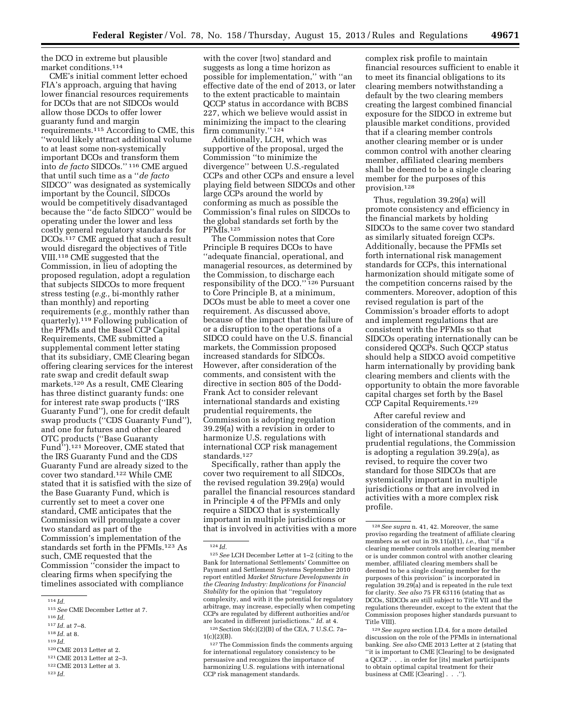the DCO in extreme but plausible market conditions.114

CME's initial comment letter echoed FIA's approach, arguing that having lower financial resources requirements for DCOs that are not SIDCOs would allow those DCOs to offer lower guaranty fund and margin requirements.115 According to CME, this ''would likely attract additional volume to at least some non-systemically important DCOs and transform them into *de facto* SIDCOs.'' 116 CME argued that until such time as a ''*de facto*  SIDCO'' was designated as systemically important by the Council, SIDCOs would be competitively disadvantaged because the ''de facto SIDCO'' would be operating under the lower and less costly general regulatory standards for DCOs.117 CME argued that such a result would disregard the objectives of Title VIII.118 CME suggested that the Commission, in lieu of adopting the proposed regulation, adopt a regulation that subjects SIDCOs to more frequent stress testing (*e.g.,* bi-monthly rather than monthly) and reporting requirements (*e.g.,* monthly rather than quarterly).119 Following publication of the PFMIs and the Basel CCP Capital Requirements, CME submitted a supplemental comment letter stating that its subsidiary, CME Clearing began offering clearing services for the interest rate swap and credit default swap markets.120 As a result, CME Clearing has three distinct guaranty funds: one for interest rate swap products (''IRS Guaranty Fund''), one for credit default swap products (''CDS Guaranty Fund''), and one for futures and other cleared OTC products (''Base Guaranty Fund'').121 Moreover, CME stated that the IRS Guaranty Fund and the CDS Guaranty Fund are already sized to the cover two standard.122 While CME stated that it is satisfied with the size of the Base Guaranty Fund, which is currently set to meet a cover one standard, CME anticipates that the Commission will promulgate a cover two standard as part of the Commission's implementation of the standards set forth in the PFMIs.123 As such, CME requested that the Commission ''consider the impact to clearing firms when specifying the timelines associated with compliance

<sup>118</sup> *Id.* at 8.<br><sup>119</sup> *Id.* <sup>120</sup> CME 2013 Letter at 2.

with the cover [two] standard and suggests as long a time horizon as possible for implementation,'' with ''an effective date of the end of 2013, or later to the extent practicable to maintain QCCP status in accordance with BCBS 227, which we believe would assist in minimizing the impact to the clearing firm community.'' 124

Additionally, LCH, which was supportive of the proposal, urged the Commission ''to minimize the divergence'' between U.S.-regulated CCPs and other CCPs and ensure a level playing field between SIDCOs and other large CCPs around the world by conforming as much as possible the Commission's final rules on SIDCOs to the global standards set forth by the PFMIs.125

The Commission notes that Core Principle B requires DCOs to have ''adequate financial, operational, and managerial resources, as determined by the Commission, to discharge each responsibility of the DCO." 126 Pursuant to Core Principle B, at a minimum, DCOs must be able to meet a cover one requirement. As discussed above, because of the impact that the failure of or a disruption to the operations of a SIDCO could have on the U.S. financial markets, the Commission proposed increased standards for SIDCOs. However, after consideration of the comments, and consistent with the directive in section 805 of the Dodd-Frank Act to consider relevant international standards and existing prudential requirements, the Commission is adopting regulation 39.29(a) with a revision in order to harmonize U.S. regulations with international CCP risk management standards.127

Specifically, rather than apply the cover two requirement to all SIDCOs, the revised regulation 39.29(a) would parallel the financial resources standard in Principle 4 of the PFMIs and only require a SIDCO that is systemically important in multiple jurisdictions or that is involved in activities with a more

 $126$  Section  $5b(c)(2)(B)$  of the CEA, 7 U.S.C. 7a–  $1(c)(2)(B).$ 

127The Commission finds the comments arguing for international regulatory consistency to be persuasive and recognizes the importance of harmonizing U.S. regulations with international CCP risk management standards.

complex risk profile to maintain financial resources sufficient to enable it to meet its financial obligations to its clearing members notwithstanding a default by the two clearing members creating the largest combined financial exposure for the SIDCO in extreme but plausible market conditions, provided that if a clearing member controls another clearing member or is under common control with another clearing member, affiliated clearing members shall be deemed to be a single clearing member for the purposes of this provision.128

Thus, regulation 39.29(a) will promote consistency and efficiency in the financial markets by holding SIDCOs to the same cover two standard as similarly situated foreign CCPs. Additionally, because the PFMIs set forth international risk management standards for CCPs, this international harmonization should mitigate some of the competition concerns raised by the commenters. Moreover, adoption of this revised regulation is part of the Commission's broader efforts to adopt and implement regulations that are consistent with the PFMIs so that SIDCOs operating internationally can be considered QCCPs. Such QCCP status should help a SIDCO avoid competitive harm internationally by providing bank clearing members and clients with the opportunity to obtain the more favorable capital charges set forth by the Basel CCP Capital Requirements.129

After careful review and consideration of the comments, and in light of international standards and prudential regulations, the Commission is adopting a regulation 39.29(a), as revised, to require the cover two standard for those SIDCOs that are systemically important in multiple jurisdictions or that are involved in activities with a more complex risk profile.

<sup>114</sup> *Id.* 

 $^{115}See$  CME December Letter at 7.  $^{116}$   $Id.$   $^{117}$   $Id.$  at 7–8.

<sup>121</sup> CME 2013 Letter at 2–3.<br><sup>122</sup> CME 2013 Letter at 3.<br><sup>123</sup> *Id.* 

<sup>124</sup> *Id.* 

<sup>125</sup>*See* LCH December Letter at 1–2 (citing to the Bank for International Settlements' Committee on Payment and Settlement Systems September 2010 report entitled *Market Structure Developments in the Clearing Industry: Implications for Financial Stability* for the opinion that ''regulatory complexity, and with it the potential for regulatory arbitrage, may increase, especially when competing CCPs are regulated by different authorities and/or are located in different jurisdictions.'' *Id.* at 4.

<sup>128</sup>*See supra* n. 41, 42. Moreover, the same proviso regarding the treatment of affiliate clearing members as set out in 39.11(a)(1), *i.e.,* that ''if a clearing member controls another clearing member or is under common control with another clearing member, affiliated clearing members shall be deemed to be a single clearing member for the purposes of this provision'' is incorporated in regulation 39.29(a) and is repeated in the rule text for clarity. *See also* 75 FR 63116 (stating that as DCOs, SIDCOs are still subject to Title VII and the regulations thereunder, except to the extent that the Commission proposes higher standards pursuant to Title VIII).

<sup>129</sup>*See supra* section I.D.4. for a more detailed discussion on the role of the PFMIs in international banking. *See also* CME 2013 Letter at 2 (stating that ''it is important to CME [Clearing] to be designated a QCCP . . . in order for [its] market participants to obtain optimal capital treatment for their business at CME [Clearing] . . .").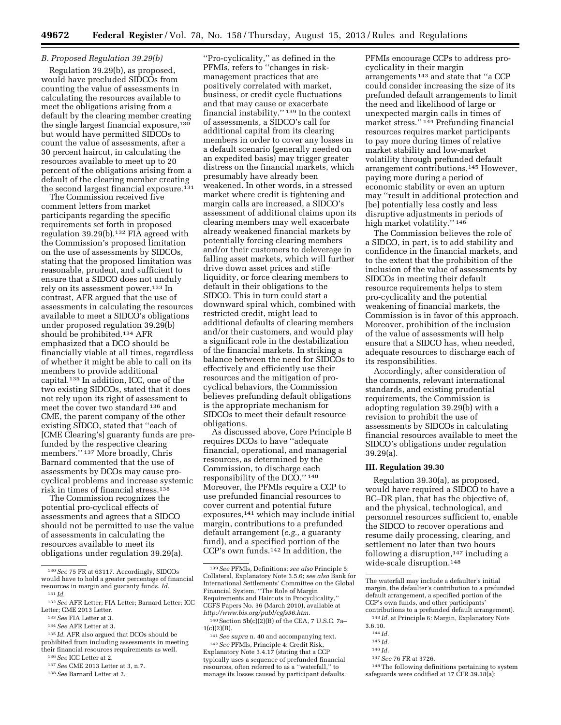## *B. Proposed Regulation 39.29(b)*

Regulation 39.29(b), as proposed, would have precluded SIDCOs from counting the value of assessments in calculating the resources available to meet the obligations arising from a default by the clearing member creating the single largest financial exposure,<sup>130</sup> but would have permitted SIDCOs to count the value of assessments, after a 30 percent haircut, in calculating the resources available to meet up to 20 percent of the obligations arising from a default of the clearing member creating the second largest financial exposure.<sup>131</sup>

The Commission received five comment letters from market participants regarding the specific requirements set forth in proposed regulation 39.29(b).132 FIA agreed with the Commission's proposed limitation on the use of assessments by SIDCOs, stating that the proposed limitation was reasonable, prudent, and sufficient to ensure that a SIDCO does not unduly rely on its assessment power.133 In contrast, AFR argued that the use of assessments in calculating the resources available to meet a SIDCO's obligations under proposed regulation 39.29(b) should be prohibited.134 AFR emphasized that a DCO should be financially viable at all times, regardless of whether it might be able to call on its members to provide additional capital.135 In addition, ICC, one of the two existing SIDCOs, stated that it does not rely upon its right of assessment to meet the cover two standard 136 and CME, the parent company of the other existing SIDCO, stated that ''each of [CME Clearing's] guaranty funds are prefunded by the respective clearing members."<sup>137</sup> More broadly, Chris Barnard commented that the use of assessments by DCOs may cause procyclical problems and increase systemic risk in times of financial stress.138

The Commission recognizes the potential pro-cyclical effects of assessments and agrees that a SIDCO should not be permitted to use the value of assessments in calculating the resources available to meet its obligations under regulation 39.29(a).

- 135 *Id.* AFR also argued that DCOs should be prohibited from including assessments in meeting their financial resources requirements as well.
- 136*See* ICC Letter at 2.
- 137*See* CME 2013 Letter at 3, n.7.

''Pro-cyclicality,'' as defined in the PFMIs, refers to ''changes in riskmanagement practices that are positively correlated with market, business, or credit cycle fluctuations and that may cause or exacerbate financial instability.'' 139 In the context of assessments, a SIDCO's call for additional capital from its clearing members in order to cover any losses in a default scenario (generally needed on an expedited basis) may trigger greater distress on the financial markets, which presumably have already been weakened. In other words, in a stressed market where credit is tightening and margin calls are increased, a SIDCO's assessment of additional claims upon its clearing members may well exacerbate already weakened financial markets by potentially forcing clearing members and/or their customers to deleverage in falling asset markets, which will further drive down asset prices and stifle liquidity, or force clearing members to default in their obligations to the SIDCO. This in turn could start a downward spiral which, combined with restricted credit, might lead to additional defaults of clearing members and/or their customers, and would play a significant role in the destabilization of the financial markets. In striking a balance between the need for SIDCOs to effectively and efficiently use their resources and the mitigation of procyclical behaviors, the Commission believes prefunding default obligations is the appropriate mechanism for SIDCOs to meet their default resource obligations.

As discussed above, Core Principle B requires DCOs to have ''adequate financial, operational, and managerial resources, as determined by the Commission, to discharge each responsibility of the DCO.'' 140 Moreover, the PFMIs require a CCP to use prefunded financial resources to cover current and potential future exposures,141 which may include initial margin, contributions to a prefunded default arrangement (*e.g.,* a guaranty fund), and a specified portion of the CCP's own funds.142 In addition, the

 $140$  Section  $5b(c)(2)(B)$  of the CEA, 7 U.S.C. 7a- $1(c)(2)(B)$ .

141*See supra* n. 40 and accompanying text. 142*See* PFMIs, Principle 4: Credit Risk, Explanatory Note 3.4.17 (stating that a CCP typically uses a sequence of prefunded financial resources, often referred to as a ''waterfall,'' to manage its losses caused by participant defaults.

PFMIs encourage CCPs to address procyclicality in their margin arrangements 143 and state that ''a CCP could consider increasing the size of its prefunded default arrangements to limit the need and likelihood of large or unexpected margin calls in times of market stress.'' 144 Prefunding financial resources requires market participants to pay more during times of relative market stability and low-market volatility through prefunded default arrangement contributions.145 However, paying more during a period of economic stability or even an upturn may ''result in additional protection and [be] potentially less costly and less disruptive adjustments in periods of high market volatility.'' 146

The Commission believes the role of a SIDCO, in part, is to add stability and confidence in the financial markets, and to the extent that the prohibition of the inclusion of the value of assessments by SIDCOs in meeting their default resource requirements helps to stem pro-cyclicality and the potential weakening of financial markets, the Commission is in favor of this approach. Moreover, prohibition of the inclusion of the value of assessments will help ensure that a SIDCO has, when needed, adequate resources to discharge each of its responsibilities.

Accordingly, after consideration of the comments, relevant international standards, and existing prudential requirements, the Commission is adopting regulation 39.29(b) with a revision to prohibit the use of assessments by SIDCOs in calculating financial resources available to meet the SIDCO's obligations under regulation 39.29(a).

#### **III. Regulation 39.30**

Regulation 39.30(a), as proposed, would have required a SIDCO to have a BC–DR plan, that has the objective of, and the physical, technological, and personnel resources sufficient to, enable the SIDCO to recover operations and resume daily processing, clearing, and settlement no later than two hours following a disruption,<sup>147</sup> including a wide-scale disruption.148

- 143 *Id.* at Principle 6: Margin, Explanatory Note 3.6.10.
- 144 *Id.*
- 145 *Id.*
- 
- 146 *Id.*
- 147*See* 76 FR at 3726.

<sup>130</sup>*See* 75 FR at 63117. Accordingly, SIDCOs would have to hold a greater percentage of financial resources in margin and guaranty funds. *Id.*  131 *Id.* 

<sup>132</sup>*See* AFR Letter; FIA Letter; Barnard Letter; ICC Letter; CME 2013 Letter.

<sup>133</sup>*See* FIA Letter at 3.

<sup>134</sup>*See* AFR Letter at 3.

<sup>138</sup>*See* Barnard Letter at 2.

<sup>139</sup>*See* PFMIs, Definitions; *see also* Principle 5: Collateral, Explanatory Note 3.5.6; *see also* Bank for International Settlements' Committee on the Global Financial System, ''The Role of Margin Requirements and Haircuts in Procyclicality,'' CGFS Papers No. 36 (March 2010), available at *[http://www.bis.org/publ/cgfs36.htm.](http://www.bis.org/publ/cgfs36.htm)* 

The waterfall may include a defaulter's initial margin, the defaulter's contribution to a prefunded default arrangement, a specified portion of the CCP's own funds, and other participants' contributions to a prefunded default arrangement).

<sup>148</sup>The following definitions pertaining to system safeguards were codified at 17 CFR 39.18(a):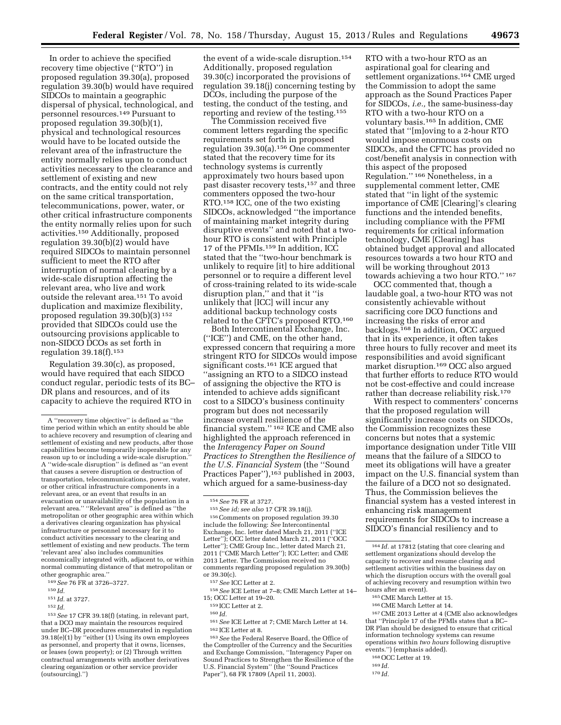In order to achieve the specified recovery time objective (''RTO'') in proposed regulation 39.30(a), proposed regulation 39.30(b) would have required SIDCOs to maintain a geographic dispersal of physical, technological, and personnel resources.149 Pursuant to proposed regulation 39.30(b)(1), physical and technological resources would have to be located outside the relevant area of the infrastructure the entity normally relies upon to conduct activities necessary to the clearance and settlement of existing and new contracts, and the entity could not rely on the same critical transportation, telecommunications, power, water, or other critical infrastructure components the entity normally relies upon for such activities.150 Additionally, proposed regulation 39.30(b)(2) would have required SIDCOs to maintain personnel sufficient to meet the RTO after interruption of normal clearing by a wide-scale disruption affecting the relevant area, who live and work outside the relevant area.151 To avoid duplication and maximize flexibility, proposed regulation 39.30(b)(3) 152 provided that SIDCOs could use the outsourcing provisions applicable to non-SIDCO DCOs as set forth in regulation  $39.18(f).$ <sup>153</sup>

Regulation 39.30(c), as proposed, would have required that each SIDCO conduct regular, periodic tests of its BC– DR plans and resources, and of its capacity to achieve the required RTO in

151 *Id.* at 3727.

153*See* 17 CFR 39.18(f) (stating, in relevant part, that a DCO may maintain the resources required under BC–DR procedures enumerated in regulation 39.18(e)(1) by ''either (1) Using its own employees as personnel, and property that it owns, licenses, or leases (own property); or (2) Through written contractual arrangements with another derivatives clearing organization or other service provider (outsourcing).'')

the event of a wide-scale disruption.154 Additionally, proposed regulation 39.30(c) incorporated the provisions of regulation 39.18(j) concerning testing by DCOs, including the purpose of the testing, the conduct of the testing, and reporting and review of the testing.155

The Commission received five comment letters regarding the specific requirements set forth in proposed regulation 39.30(a).156 One commenter stated that the recovery time for its technology systems is currently approximately two hours based upon past disaster recovery tests,157 and three commenters opposed the two-hour RTO.158 ICC, one of the two existing SIDCOs, acknowledged ''the importance of maintaining market integrity during disruptive events'' and noted that a twohour RTO is consistent with Principle 17 of the PFMIs.159 In addition, ICC stated that the ''two-hour benchmark is unlikely to require [it] to hire additional personnel or to require a different level of cross-training related to its wide-scale disruption plan,'' and that it ''is unlikely that [ICC] will incur any additional backup technology costs related to the CFTC's proposed RTO.160

Both Intercontinental Exchange, Inc. (''ICE'') and CME, on the other hand, expressed concern that requiring a more stringent RTO for SIDCOs would impose significant costs.<sup>161</sup> ICE argued that ''assigning an RTO to a SIDCO instead of assigning the objective the RTO is intended to achieve adds significant cost to a SIDCO's business continuity program but does not necessarily increase overall resilience of the financial system.'' 162 ICE and CME also highlighted the approach referenced in the *Interagency Paper on Sound Practices to Strengthen the Resilience of the U.S. Financial System* (the ''Sound Practices Paper"),<sup>163</sup> published in 2003, which argued for a same-business-day

<sup>154</sup>*See* 76 FR at 3727. 155*See id; see also* 17 CFR 39.18(j). 156Comments on proposed regulation 39.30 include the following: *See* Intercontinental Exchange, Inc. letter dated March 21, 2011 (''ICE Letter''); OCC letter dated March 21, 2011 (''OCC Letter''); CME Group Inc., letter dated March 21, 2011 (''CME March Letter''); ICC Letter; and CME 2013 Letter. The Commission received no comments regarding proposed regulation 39.30(b) or  $39.30(c)$ .<br> $157 \text{ See } ICC$  Letter at 2.

<sup>158</sup> See ICE Letter at 7–8; CME March Letter at 14–<br>15<sup>*·*</sup> OCC Letter at 19–20

 $^{159}\rm{ICC}$  Letter at 2.  $^{160}\rm{Id}$ .  $^{161}\rm{See}$  ICE Letter at 7; CME March Letter at 14.

<sup>162</sup> ICE Letter at 8.<br><sup>163</sup> See the Federal Reserve Board, the Office of the Comptroller of the Currency and the Securities and Exchange Commission, ''Interagency Paper on Sound Practices to Strengthen the Resilience of the U.S. Financial System'' (the ''Sound Practices Paper''), 68 FR 17809 (April 11, 2003).

RTO with a two-hour RTO as an aspirational goal for clearing and settlement organizations.164 CME urged the Commission to adopt the same approach as the Sound Practices Paper for SIDCOs, *i.e.,* the same-business-day RTO with a two-hour RTO on a voluntary basis.165 In addition, CME stated that ''[m]oving to a 2-hour RTO would impose enormous costs on SIDCOs, and the CFTC has provided no cost/benefit analysis in connection with this aspect of the proposed Regulation.'' 166 Nonetheless, in a supplemental comment letter, CME stated that ''in light of the systemic importance of CME [Clearing]'s clearing functions and the intended benefits, including compliance with the PFMI requirements for critical information technology, CME [Clearing] has obtained budget approval and allocated resources towards a two hour RTO and will be working throughout 2013 towards achieving a two hour RTO.'' 167

OCC commented that, though a laudable goal, a two-hour RTO was not consistently achievable without sacrificing core DCO functions and increasing the risks of error and backlogs.<sup>168</sup> In addition, OCC argued that in its experience, it often takes three hours to fully recover and meet its responsibilities and avoid significant market disruption.169 OCC also argued that further efforts to reduce RTO would not be cost-effective and could increase rather than decrease reliability risk.170

With respect to commenters' concerns that the proposed regulation will significantly increase costs on SIDCOs, the Commission recognizes these concerns but notes that a systemic importance designation under Title VIII means that the failure of a SIDCO to meet its obligations will have a greater impact on the U.S. financial system than the failure of a DCO not so designated. Thus, the Commission believes the financial system has a vested interest in enhancing risk management requirements for SIDCOs to increase a SIDCO's financial resiliency and to

<sup>165</sup> CME March Letter at 15.<br><sup>166</sup> CME March Letter at 14.<br><sup>167</sup> CME 2013 Letter at 4 (CME also acknowledges that ''Principle 17 of the PFMIs states that a BC– DR Plan should be designed to ensure that critical information technology systems can resume operations within *two hours* following disruptive events.'') (emphasis added).

- 168OCC Letter at 19.
- 169 *Id.*
- 170 *Id.*

A ''recovery time objective'' is defined as ''the time period within which an entity should be able to achieve recovery and resumption of clearing and settlement of existing and new products, after those capabilities become temporarily inoperable for any reason up to or including a wide-scale disruption.'' A ''wide-scale disruption'' is defined as ''an event that causes a severe disruption or destruction of transportation, telecommunications, power, water, or other critical infrastructure components in a relevant area, or an event that results in an evacuation or unavailability of the population in a relevant area.'' ''Relevant area'' is defined as ''the metropolitan or other geographic area within which a derivatives clearing organization has physical infrastructure or personnel necessary for it to conduct activities necessary to the clearing and settlement of existing and new products. The term 'relevant area' also includes communities economically integrated with, adjacent to, or within normal commuting distance of that metropolitan or other geographic area.''

<sup>149</sup>*See* 76 FR at 3726–3727.

<sup>150</sup> *Id.* 

<sup>152</sup> *Id.* 

<sup>164</sup> *Id.* at 17812 (stating that core clearing and settlement organizations should develop the capacity to recover and resume clearing and settlement activities within the business day on which the disruption occurs with the overall goal of achieving recovery and resumption within two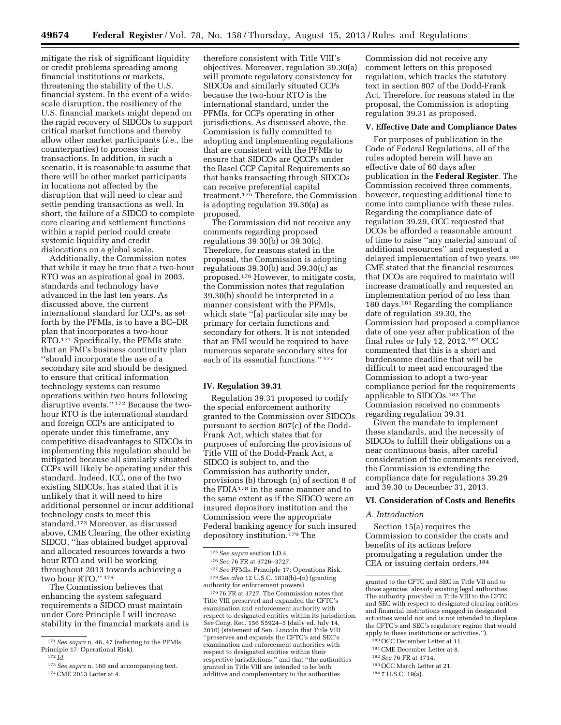mitigate the risk of significant liquidity or credit problems spreading among financial institutions or markets, threatening the stability of the U.S. financial system. In the event of a widescale disruption, the resiliency of the U.S. financial markets might depend on the rapid recovery of SIDCOs to support critical market functions and thereby allow other market participants (*i.e.,* the counterparties) to process their transactions. In addition, in such a scenario, it is reasonable to assume that there will be other market participants in locations not affected by the disruption that will need to clear and settle pending transactions as well. In short, the failure of a SIDCO to complete core clearing and settlement functions within a rapid period could create systemic liquidity and credit dislocations on a global scale.

Additionally, the Commission notes that while it may be true that a two-hour RTO was an aspirational goal in 2003, standards and technology have advanced in the last ten years. As discussed above, the current international standard for CCPs, as set forth by the PFMIs, is to have a BC–DR plan that incorporates a two-hour RTO.171 Specifically, the PFMIs state that an FMI's business continuity plan ''should incorporate the use of a secondary site and should be designed to ensure that critical information technology systems can resume operations within two hours following disruptive events.'' 172 Because the twohour RTO is the international standard and foreign CCPs are anticipated to operate under this timeframe, any competitive disadvantages to SIDCOs in implementing this regulation should be mitigated because all similarly situated CCPs will likely be operating under this standard. Indeed, ICC, one of the two existing SIDCOs, has stated that it is unlikely that it will need to hire additional personnel or incur additional technology costs to meet this standard.173 Moreover, as discussed above, CME Clearing, the other existing SIDCO, ''has obtained budget approval and allocated resources towards a two hour RTO and will be working throughout 2013 towards achieving a two hour RTO.'' 174

The Commission believes that enhancing the system safeguard requirements a SIDCO must maintain under Core Principle I will increase stability in the financial markets and is

therefore consistent with Title VIII's objectives. Moreover, regulation 39.30(a) will promote regulatory consistency for SIDCOs and similarly situated CCPs because the two-hour RTO is the international standard, under the PFMIs, for CCPs operating in other jurisdictions. As discussed above, the Commission is fully committed to adopting and implementing regulations that are consistent with the PFMIs to ensure that SIDCOs are QCCPs under the Basel CCP Capital Requirements so that banks transacting through SIDCOs can receive preferential capital treatment.175 Therefore, the Commission is adopting regulation 39.30(a) as proposed.

The Commission did not receive any comments regarding proposed regulations 39.30(b) or 39.30(c). Therefore, for reasons stated in the proposal, the Commission is adopting regulations  $39.30(b)$  and  $39.30(c)$  as proposed.176 However, to mitigate costs, the Commission notes that regulation 39.30(b) should be interpreted in a manner consistent with the PFMIs, which state ''[a] particular site may be primary for certain functions and secondary for others. It is not intended that an FMI would be required to have numerous separate secondary sites for each of its essential functions.'' 177

#### **IV. Regulation 39.31**

Regulation 39.31 proposed to codify the special enforcement authority granted to the Commission over SIDCOs pursuant to section 807(c) of the Dodd-Frank Act, which states that for purposes of enforcing the provisions of Title VIII of the Dodd-Frank Act, a SIDCO is subject to, and the Commission has authority under, provisions (b) through (n) of section 8 of the FDIA178 in the same manner and to the same extent as if the SIDCO were an insured depository institution and the Commission were the appropriate Federal banking agency for such insured depository institution.179 The

179 76 FR at 3727. The Commission notes that Title VIII preserved and expanded the CFTC's examination and enforcement authority with respect to designated entities within its jurisdiction. *See* Cong. Rec. 156 S5924–5 (daily ed. July 14, 2010) (statement of Sen. Lincoln that Title VIII ''preserves and expands the CFTC's and SEC's examination and enforcement authorities with respect to designated entities within their respective jurisdictions,'' and that ''the authorities granted in Title VIII are intended to be both additive and complementary to the authorities

Commission did not receive any comment letters on this proposed regulation, which tracks the statutory text in section 807 of the Dodd-Frank Act. Therefore, for reasons stated in the proposal, the Commission is adopting regulation 39.31 as proposed.

#### **V. Effective Date and Compliance Dates**

For purposes of publication in the Code of Federal Regulations, all of the rules adopted herein will have an effective date of 60 days after publication in the **Federal Register**. The Commission received three comments, however, requesting additional time to come into compliance with these rules. Regarding the compliance date of regulation 39.29, OCC requested that DCOs be afforded a reasonable amount of time to raise ''any material amount of additional resources'' and requested a delayed implementation of two years.180 CME stated that the financial resources that DCOs are required to maintain will increase dramatically and requested an implementation period of no less than 180 days.181 Regarding the compliance date of regulation 39.30, the Commission had proposed a compliance date of one year after publication of the final rules or July 12, 2012.182 OCC commented that this is a short and burdensome deadline that will be difficult to meet and encouraged the Commission to adopt a two-year compliance period for the requirements applicable to SIDCOs.183 The Commission received no comments regarding regulation 39.31.

Given the mandate to implement these standards, and the necessity of SIDCOs to fulfill their obligations on a near continuous basis, after careful consideration of the comments received, the Commission is extending the compliance date for regulations 39.29 and 39.30 to December 31, 2013.

#### **VI. Consideration of Costs and Benefits**

#### *A. Introduction*

Section 15(a) requires the Commission to consider the costs and benefits of its actions before promulgating a regulation under the CEA or issuing certain orders.184

- 182*See* 76 FR at 3714.
- 183OCC March Letter at 21.

<sup>171</sup>*See supra* n. 46, 47 (referring to the PFMIs, Principle 17: Operational Risk).

<sup>172</sup> *Id.* 

<sup>173</sup>*See supra* n. 160 and accompanying text. 174CME 2013 Letter at 4.

<sup>175</sup>*See supra* section I.D.4.

<sup>176</sup>*See* 76 FR at 3726–3727.

<sup>177</sup>*See* PFMIs, Principle 17: Operations Risk. 178*See also* 12 U.S.C. 1818(b)–(n) (granting authority for enforcement powers).

granted to the CFTC and SEC in Title VII and to those agencies' already existing legal authorities. The authority provided in Title VIII to the CFTC and SEC with respect to designated clearing entities and financial institutions engaged in designated activities would not and is not intended to displace the CFTC's and SEC's regulatory regime that would apply to these institutions or activities.'').

<sup>180</sup>OCC December Letter at 11. 181CME December Letter at 8.

<sup>184</sup> 7 U.S.C. 19(a).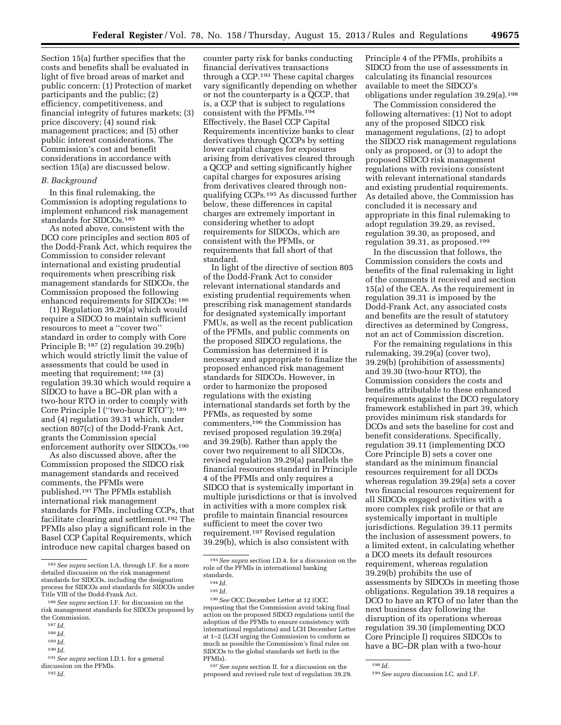Section 15(a) further specifies that the costs and benefits shall be evaluated in light of five broad areas of market and public concern: (1) Protection of market participants and the public; (2) efficiency, competitiveness, and financial integrity of futures markets; (3) price discovery; (4) sound risk management practices; and (5) other public interest considerations. The Commission's cost and benefit considerations in accordance with section 15(a) are discussed below.

#### *B. Background*

In this final rulemaking, the Commission is adopting regulations to implement enhanced risk management standards for SIDCOs.185

As noted above, consistent with the DCO core principles and section 805 of the Dodd-Frank Act, which requires the Commission to consider relevant international and existing prudential requirements when prescribing risk management standards for SIDCOs, the Commission proposed the following enhanced requirements for SIDCOs: 186

(1) Regulation 39.29(a) which would require a SIDCO to maintain sufficient resources to meet a ''cover two'' standard in order to comply with Core Principle B; 187 (2) regulation 39.29(b) which would strictly limit the value of assessments that could be used in meeting that requirement; 188 (3) regulation 39.30 which would require a SIDCO to have a BC–DR plan with a two-hour RTO in order to comply with Core Principle I (''two-hour RTO''); 189 and (4) regulation 39.31 which, under section 807(c) of the Dodd-Frank Act, grants the Commission special enforcement authority over SIDCOs.190

As also discussed above, after the Commission proposed the SIDCO risk management standards and received comments, the PFMIs were published.191 The PFMIs establish international risk management standards for FMIs, including CCPs, that facilitate clearing and settlement.192 The PFMIs also play a significant role in the Basel CCP Capital Requirements, which introduce new capital charges based on

- 189 *Id.*
- 190 *Id.*

counter party risk for banks conducting financial derivatives transactions through a CCP.193 These capital charges vary significantly depending on whether or not the counterparty is a QCCP, that is, a CCP that is subject to regulations consistent with the PFMIs.194 Effectively, the Basel CCP Capital Requirements incentivize banks to clear derivatives through QCCPs by setting lower capital charges for exposures arising from derivatives cleared through a QCCP and setting significantly higher capital charges for exposures arising from derivatives cleared through nonqualifying CCPs.195 As discussed further below, these differences in capital charges are extremely important in considering whether to adopt requirements for SIDCOs, which are consistent with the PFMIs, or requirements that fall short of that standard.

In light of the directive of section 805 of the Dodd-Frank Act to consider relevant international standards and existing prudential requirements when prescribing risk management standards for designated systemically important FMUs, as well as the recent publication of the PFMIs, and public comments on the proposed SIDCO regulations, the Commission has determined it is necessary and appropriate to finalize the proposed enhanced risk management standards for SIDCOs. However, in order to harmonize the proposed regulations with the existing international standards set forth by the PFMIs, as requested by some commenters,196 the Commission has revised proposed regulation 39.29(a) and 39.29(b). Rather than apply the cover two requirement to all SIDCOs, revised regulation 39.29(a) parallels the financial resources standard in Principle 4 of the PFMIs and only requires a SIDCO that is systemically important in multiple jurisdictions or that is involved in activities with a more complex risk profile to maintain financial resources sufficient to meet the cover two requirement.197 Revised regulation 39.29(b), which is also consistent with

196*See* OCC December Letter at 12 (OCC requesting that the Commission avoid taking final action on the proposed SIDCO regulations until the adoption of the PFMIs to ensure consistency with international regulations) and LCH December Letter at 1–2 (LCH urging the Commission to conform as much as possible the Commission's final rules on SIDCOs to the global standards set forth in the PFMIs).

197*See supra* section II. for a discussion on the proposed and revised rule text of regulation 39.29.

Principle 4 of the PFMIs, prohibits a SIDCO from the use of assessments in calculating its financial resources available to meet the SIDCO's obligations under regulation 39.29(a).198

The Commission considered the following alternatives: (1) Not to adopt any of the proposed SIDCO risk management regulations, (2) to adopt the SIDCO risk management regulations only as proposed, or (3) to adopt the proposed SIDCO risk management regulations with revisions consistent with relevant international standards and existing prudential requirements. As detailed above, the Commission has concluded it is necessary and appropriate in this final rulemaking to adopt regulation 39.29, as revised, regulation 39.30, as proposed, and regulation 39.31, as proposed.199

In the discussion that follows, the Commission considers the costs and benefits of the final rulemaking in light of the comments it received and section 15(a) of the CEA. As the requirement in regulation 39.31 is imposed by the Dodd-Frank Act, any associated costs and benefits are the result of statutory directives as determined by Congress, not an act of Commission discretion.

For the remaining regulations in this rulemaking, 39.29(a) (cover two), 39.29(b) (prohibition of assessments) and 39.30 (two-hour RTO), the Commission considers the costs and benefits attributable to these enhanced requirements against the DCO regulatory framework established in part 39, which provides minimum risk standards for DCOs and sets the baseline for cost and benefit considerations. Specifically, regulation 39.11 (implementing DCO Core Principle B) sets a cover one standard as the minimum financial resources requirement for all DCOs whereas regulation 39.29(a) sets a cover two financial resources requirement for all SIDCOs engaged activities with a more complex risk profile or that are systemically important in multiple jurisdictions. Regulation 39.11 permits the inclusion of assessment powers, to a limited extent, in calculating whether a DCO meets its default resources requirement, whereas regulation 39.29(b) prohibits the use of assessments by SIDCOs in meeting those obligations. Regulation 39.18 requires a DCO to have an RTO of no later than the next business day following the disruption of its operations whereas regulation 39.30 (implementing DCO Core Principle I) requires SIDCOs to have a BC–DR plan with a two-hour

<sup>185</sup>*See supra* section I.A. through I.F. for a more detailed discussion on the risk management standards for SIDCOs, including the designation process for SIDCOs and standards for SIDCOs under Title VIII of the Dodd-Frank Act.

<sup>186</sup>*See supra* section I.F. for discussion on the risk management standards for SIDCOs proposed by the Commission.

<sup>187</sup> *Id.* 

<sup>188</sup> *Id.* 

<sup>191</sup>*See supra* section I.D.1. for a general

discussion on the PFMIs. 192 *Id.* 

<sup>193</sup>*See supra* section I.D.4. for a discussion on the role of the PFMIs in international banking standards.

<sup>194</sup> *Id.* 

<sup>195</sup> *Id.* 

<sup>198</sup> *Id.* 

<sup>199</sup>*See supra* discussion I.C. and I.F.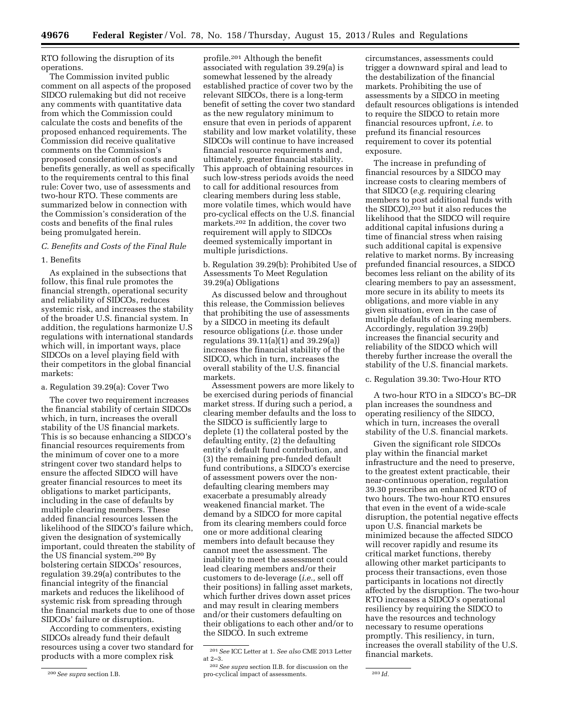RTO following the disruption of its operations.

The Commission invited public comment on all aspects of the proposed SIDCO rulemaking but did not receive any comments with quantitative data from which the Commission could calculate the costs and benefits of the proposed enhanced requirements. The Commission did receive qualitative comments on the Commission's proposed consideration of costs and benefits generally, as well as specifically to the requirements central to this final rule: Cover two, use of assessments and two-hour RTO. These comments are summarized below in connection with the Commission's consideration of the costs and benefits of the final rules being promulgated herein.

## *C. Benefits and Costs of the Final Rule*

#### 1. Benefits

As explained in the subsections that follow, this final rule promotes the financial strength, operational security and reliability of SIDCOs, reduces systemic risk, and increases the stability of the broader U.S. financial system. In addition, the regulations harmonize U.S regulations with international standards which will, in important ways, place SIDCOs on a level playing field with their competitors in the global financial markets:

## a. Regulation 39.29(a): Cover Two

The cover two requirement increases the financial stability of certain SIDCOs which, in turn, increases the overall stability of the US financial markets. This is so because enhancing a SIDCO's financial resources requirements from the minimum of cover one to a more stringent cover two standard helps to ensure the affected SIDCO will have greater financial resources to meet its obligations to market participants, including in the case of defaults by multiple clearing members. These added financial resources lessen the likelihood of the SIDCO's failure which, given the designation of systemically important, could threaten the stability of the US financial system.200 By bolstering certain SIDCOs' resources, regulation 39.29(a) contributes to the financial integrity of the financial markets and reduces the likelihood of systemic risk from spreading through the financial markets due to one of those SIDCOs' failure or disruption.

According to commenters, existing SIDCOs already fund their default resources using a cover two standard for products with a more complex risk

profile.201 Although the benefit associated with regulation 39.29(a) is somewhat lessened by the already established practice of cover two by the relevant SIDCOs, there is a long-term benefit of setting the cover two standard as the new regulatory minimum to ensure that even in periods of apparent stability and low market volatility, these SIDCOs will continue to have increased financial resource requirements and, ultimately, greater financial stability. This approach of obtaining resources in such low-stress periods avoids the need to call for additional resources from clearing members during less stable, more volatile times, which would have pro-cyclical effects on the U.S. financial markets.202 In addition, the cover two requirement will apply to SIDCOs deemed systemically important in multiple jurisdictions.

b. Regulation 39.29(b): Prohibited Use of Assessments To Meet Regulation 39.29(a) Obligations

As discussed below and throughout this release, the Commission believes that prohibiting the use of assessments by a SIDCO in meeting its default resource obligations (*i.e.* those under regulations 39.11(a)(1) and 39.29(a)) increases the financial stability of the SIDCO, which in turn, increases the overall stability of the U.S. financial markets.

Assessment powers are more likely to be exercised during periods of financial market stress. If during such a period, a clearing member defaults and the loss to the SIDCO is sufficiently large to deplete (1) the collateral posted by the defaulting entity, (2) the defaulting entity's default fund contribution, and (3) the remaining pre-funded default fund contributions, a SIDCO's exercise of assessment powers over the nondefaulting clearing members may exacerbate a presumably already weakened financial market. The demand by a SIDCO for more capital from its clearing members could force one or more additional clearing members into default because they cannot meet the assessment. The inability to meet the assessment could lead clearing members and/or their customers to de-leverage (*i.e.,* sell off their positions) in falling asset markets, which further drives down asset prices and may result in clearing members and/or their customers defaulting on their obligations to each other and/or to the SIDCO. In such extreme

circumstances, assessments could trigger a downward spiral and lead to the destabilization of the financial markets. Prohibiting the use of assessments by a SIDCO in meeting default resources obligations is intended to require the SIDCO to retain more financial resources upfront, *i.e.* to prefund its financial resources requirement to cover its potential exposure.

The increase in prefunding of financial resources by a SIDCO may increase costs to clearing members of that SIDCO (*e.g.* requiring clearing members to post additional funds with the SIDCO),<sup>203</sup> but it also reduces the likelihood that the SIDCO will require additional capital infusions during a time of financial stress when raising such additional capital is expensive relative to market norms. By increasing prefunded financial resources, a SIDCO becomes less reliant on the ability of its clearing members to pay an assessment, more secure in its ability to meets its obligations, and more viable in any given situation, even in the case of multiple defaults of clearing members. Accordingly, regulation 39.29(b) increases the financial security and reliability of the SIDCO which will thereby further increase the overall the stability of the U.S. financial markets.

c. Regulation 39.30: Two-Hour RTO

A two-hour RTO in a SIDCO's BC–DR plan increases the soundness and operating resiliency of the SIDCO, which in turn, increases the overall stability of the U.S. financial markets.

Given the significant role SIDCOs play within the financial market infrastructure and the need to preserve, to the greatest extent practicable, their near-continuous operation, regulation 39.30 prescribes an enhanced RTO of two hours. The two-hour RTO ensures that even in the event of a wide-scale disruption, the potential negative effects upon U.S. financial markets be minimized because the affected SIDCO will recover rapidly and resume its critical market functions, thereby allowing other market participants to process their transactions, even those participants in locations not directly affected by the disruption. The two-hour RTO increases a SIDCO's operational resiliency by requiring the SIDCO to have the resources and technology necessary to resume operations promptly. This resiliency, in turn, increases the overall stability of the U.S. financial markets.

<sup>200</sup>*See supra* section I.B.

<sup>201</sup>*See* ICC Letter at 1. *See also* CME 2013 Letter at 2–3.

<sup>202</sup>*See supra* section II.B. for discussion on the pro-cyclical impact of assessments. 203 *Id.*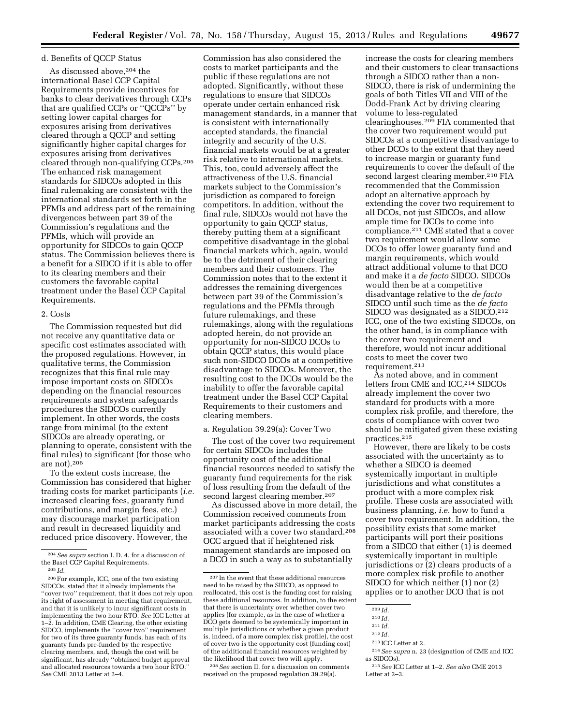## d. Benefits of QCCP Status

As discussed above,204 the international Basel CCP Capital Requirements provide incentives for banks to clear derivatives through CCPs that are qualified CCPs or ''QCCPs'' by setting lower capital charges for exposures arising from derivatives cleared through a QCCP and setting significantly higher capital charges for exposures arising from derivatives cleared through non-qualifying CCPs.205 The enhanced risk management standards for SIDCOs adopted in this final rulemaking are consistent with the international standards set forth in the PFMIs and address part of the remaining divergences between part 39 of the Commission's regulations and the PFMIs, which will provide an opportunity for SIDCOs to gain QCCP status. The Commission believes there is a benefit for a SIDCO if it is able to offer to its clearing members and their customers the favorable capital treatment under the Basel CCP Capital Requirements.

## 2. Costs

The Commission requested but did not receive any quantitative data or specific cost estimates associated with the proposed regulations. However, in qualitative terms, the Commission recognizes that this final rule may impose important costs on SIDCOs depending on the financial resources requirements and system safeguards procedures the SIDCOs currently implement. In other words, the costs range from minimal (to the extent SIDCOs are already operating, or planning to operate, consistent with the final rules) to significant (for those who are not).206

To the extent costs increase, the Commission has considered that higher trading costs for market participants (*i.e.*  increased clearing fees, guaranty fund contributions, and margin fees, etc.) may discourage market participation and result in decreased liquidity and reduced price discovery. However, the

Commission has also considered the costs to market participants and the public if these regulations are not adopted. Significantly, without these regulations to ensure that SIDCOs operate under certain enhanced risk management standards, in a manner that is consistent with internationally accepted standards, the financial integrity and security of the U.S. financial markets would be at a greater risk relative to international markets. This, too, could adversely affect the attractiveness of the U.S. financial markets subject to the Commission's jurisdiction as compared to foreign competitors. In addition, without the final rule, SIDCOs would not have the opportunity to gain QCCP status, thereby putting them at a significant competitive disadvantage in the global financial markets which, again, would be to the detriment of their clearing members and their customers. The Commission notes that to the extent it addresses the remaining divergences between part 39 of the Commission's regulations and the PFMIs through future rulemakings, and these rulemakings, along with the regulations adopted herein, do not provide an opportunity for non-SIDCO DCOs to obtain QCCP status, this would place such non-SIDCO DCOs at a competitive disadvantage to SIDCOs. Moreover, the resulting cost to the DCOs would be the inability to offer the favorable capital treatment under the Basel CCP Capital Requirements to their customers and clearing members.

#### a. Regulation 39.29(a): Cover Two

The cost of the cover two requirement for certain SIDCOs includes the opportunity cost of the additional financial resources needed to satisfy the guaranty fund requirements for the risk of loss resulting from the default of the second largest clearing member.207

As discussed above in more detail, the Commission received comments from market participants addressing the costs associated with a cover two standard.208 OCC argued that if heightened risk management standards are imposed on a DCO in such a way as to substantially

208*See* section II. for a discussion on comments received on the proposed regulation 39.29(a).

increase the costs for clearing members and their customers to clear transactions through a SIDCO rather than a non-SIDCO, there is risk of undermining the goals of both Titles VII and VIII of the Dodd-Frank Act by driving clearing volume to less-regulated clearinghouses.209 FIA commented that the cover two requirement would put SIDCOs at a competitive disadvantage to other DCOs to the extent that they need to increase margin or guaranty fund requirements to cover the default of the second largest clearing member.<sup>210</sup> FIA recommended that the Commission adopt an alternative approach by extending the cover two requirement to all DCOs, not just SIDCOs, and allow ample time for DCOs to come into compliance.211 CME stated that a cover two requirement would allow some DCOs to offer lower guaranty fund and margin requirements, which would attract additional volume to that DCO and make it a *de facto* SIDCO. SIDCOs would then be at a competitive disadvantage relative to the *de facto*  SIDCO until such time as the *de facto*  SIDCO was designated as a SIDCO.212 ICC, one of the two existing SIDCOs, on the other hand, is in compliance with the cover two requirement and therefore, would not incur additional costs to meet the cover two requirement.213

As noted above, and in comment letters from CME and ICC,<sup>214</sup> SIDCOs already implement the cover two standard for products with a more complex risk profile, and therefore, the costs of compliance with cover two should be mitigated given these existing practices.215

However, there are likely to be costs associated with the uncertainty as to whether a SIDCO is deemed systemically important in multiple jurisdictions and what constitutes a product with a more complex risk profile. These costs are associated with business planning, *i.e.* how to fund a cover two requirement. In addition, the possibility exists that some market participants will port their positions from a SIDCO that either (1) is deemed systemically important in multiple jurisdictions or (2) clears products of a more complex risk profile to another SIDCO for which neither (1) nor (2) applies or to another DCO that is not

213 ICC Letter at 2.

<sup>204</sup>*See supra* section I. D. 4. for a discussion of the Basel CCP Capital Requirements.

<sup>205</sup> *Id.* 

<sup>206</sup>For example, ICC, one of the two existing SIDCOs, stated that it already implements the ''cover two'' requirement, that it does not rely upon its right of assessment in meeting that requirement, and that it is unlikely to incur significant costs in implementing the two hour RTO. *See* ICC Letter at 1–2. In addition, CME Clearing, the other existing SIDCO, implements the ''cover two'' requirement for two of its three guaranty funds, has each of its guaranty funds pre-funded by the respective clearing members, and, though the cost will be significant, has already ''obtained budget approval and allocated resources towards a two hour RTO.'' *See* CME 2013 Letter at 2–4.

<sup>207</sup> In the event that these additional resources need to be raised by the SIDCO, as opposed to reallocated, this cost is the funding cost for raising these additional resources. In addition, to the extent that there is uncertainty over whether cover two applies (for example, as in the case of whether a DCO gets deemed to be systemically important in multiple jurisdictions or whether a given product is, indeed, of a more complex risk profile), the cost of cover two is the opportunity cost (funding cost) of the additional financial resources weighted by the likelihood that cover two will apply.

<sup>209</sup> *Id.* 

<sup>210</sup> *Id.* 

<sup>211</sup> *Id.* 

<sup>212</sup> *Id.* 

<sup>214</sup>*See supra* n. 23 (designation of CME and ICC as SIDCOs).

<sup>215</sup>*See* ICC Letter at 1–2. *See also* CME 2013 Letter at 2–3.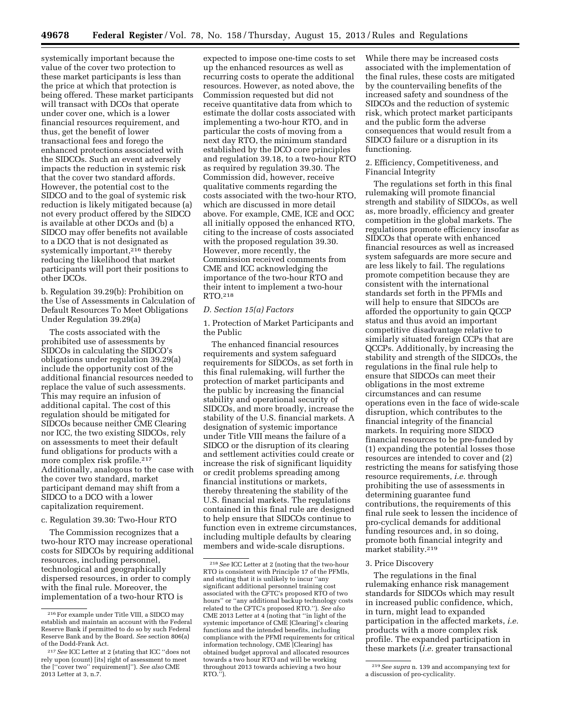systemically important because the value of the cover two protection to these market participants is less than the price at which that protection is being offered. These market participants will transact with DCOs that operate under cover one, which is a lower financial resources requirement, and thus, get the benefit of lower transactional fees and forego the enhanced protections associated with the SIDCOs. Such an event adversely impacts the reduction in systemic risk that the cover two standard affords. However, the potential cost to the SIDCO and to the goal of systemic risk reduction is likely mitigated because (a) not every product offered by the SIDCO is available at other DCOs and (b) a SIDCO may offer benefits not available to a DCO that is not designated as systemically important,<sup>216</sup> thereby reducing the likelihood that market participants will port their positions to other DCOs.

b. Regulation 39.29(b): Prohibition on the Use of Assessments in Calculation of Default Resources To Meet Obligations Under Regulation 39.29(a)

The costs associated with the prohibited use of assessments by SIDCOs in calculating the SIDCO's obligations under regulation 39.29(a) include the opportunity cost of the additional financial resources needed to replace the value of such assessments. This may require an infusion of additional capital. The cost of this regulation should be mitigated for SIDCOs because neither CME Clearing nor ICC, the two existing SIDCOs, rely on assessments to meet their default fund obligations for products with a more complex risk profile.<sup>217</sup> Additionally, analogous to the case with the cover two standard, market participant demand may shift from a SIDCO to a DCO with a lower capitalization requirement.

## c. Regulation 39.30: Two-Hour RTO

The Commission recognizes that a two-hour RTO may increase operational costs for SIDCOs by requiring additional resources, including personnel, technological and geographically dispersed resources, in order to comply with the final rule. Moreover, the implementation of a two-hour RTO is

expected to impose one-time costs to set up the enhanced resources as well as recurring costs to operate the additional resources. However, as noted above, the Commission requested but did not receive quantitative data from which to estimate the dollar costs associated with implementing a two-hour RTO, and in particular the costs of moving from a next day RTO, the minimum standard established by the DCO core principles and regulation 39.18, to a two-hour RTO as required by regulation 39.30. The Commission did, however, receive qualitative comments regarding the costs associated with the two-hour RTO, which are discussed in more detail above. For example, CME, ICE and OCC all initially opposed the enhanced RTO, citing to the increase of costs associated with the proposed regulation 39.30. However, more recently, the Commission received comments from CME and ICC acknowledging the importance of the two-hour RTO and their intent to implement a two-hour RTO.218

## *D. Section 15(a) Factors*

1. Protection of Market Participants and the Public

The enhanced financial resources requirements and system safeguard requirements for SIDCOs, as set forth in this final rulemaking, will further the protection of market participants and the public by increasing the financial stability and operational security of SIDCOs, and more broadly, increase the stability of the U.S. financial markets. A designation of systemic importance under Title VIII means the failure of a SIDCO or the disruption of its clearing and settlement activities could create or increase the risk of significant liquidity or credit problems spreading among financial institutions or markets, thereby threatening the stability of the U.S. financial markets. The regulations contained in this final rule are designed to help ensure that SIDCOs continue to function even in extreme circumstances, including multiple defaults by clearing members and wide-scale disruptions.

While there may be increased costs associated with the implementation of the final rules, these costs are mitigated by the countervailing benefits of the increased safety and soundness of the SIDCOs and the reduction of systemic risk, which protect market participants and the public form the adverse consequences that would result from a SIDCO failure or a disruption in its functioning.

## 2. Efficiency, Competitiveness, and Financial Integrity

The regulations set forth in this final rulemaking will promote financial strength and stability of SIDCOs, as well as, more broadly, efficiency and greater competition in the global markets. The regulations promote efficiency insofar as SIDCOs that operate with enhanced financial resources as well as increased system safeguards are more secure and are less likely to fail. The regulations promote competition because they are consistent with the international standards set forth in the PFMIs and will help to ensure that SIDCOs are afforded the opportunity to gain QCCP status and thus avoid an important competitive disadvantage relative to similarly situated foreign CCPs that are QCCPs. Additionally, by increasing the stability and strength of the SIDCOs, the regulations in the final rule help to ensure that SIDCOs can meet their obligations in the most extreme circumstances and can resume operations even in the face of wide-scale disruption, which contributes to the financial integrity of the financial markets. In requiring more SIDCO financial resources to be pre-funded by (1) expanding the potential losses those resources are intended to cover and (2) restricting the means for satisfying those resource requirements, *i.e.* through prohibiting the use of assessments in determining guarantee fund contributions, the requirements of this final rule seek to lessen the incidence of pro-cyclical demands for additional funding resources and, in so doing, promote both financial integrity and market stability.219

#### 3. Price Discovery

The regulations in the final rulemaking enhance risk management standards for SIDCOs which may result in increased public confidence, which, in turn, might lead to expanded participation in the affected markets, *i.e.*  products with a more complex risk profile. The expanded participation in these markets (*i.e.* greater transactional

<sup>216</sup>For example under Title VIII, a SIDCO may establish and maintain an account with the Federal Reserve Bank if permitted to do so by such Federal Reserve Bank and by the Board. *See* section 806(a) of the Dodd-Frank Act.

<sup>217</sup>*See* ICC Letter at 2 (stating that ICC ''does not rely upon (count) [its] right of assessment to meet the [''cover two'' requirement]''). *See also* CME 2013 Letter at 3, n.7.

<sup>218</sup>*See* ICC Letter at 2 (noting that the two-hour RTO is consistent with Principle 17 of the PFMIs, and stating that it is unlikely to incur ''any significant additional personnel training cost associated with the CFTC's proposed RTO of two hours'' or ''any additional backup technology costs related to the CFTC's proposed RTO.''). *See also*  CME 2013 Letter at 4 (noting that ''in light of the systemic importance of CME [Clearing]'s clearing functions and the intended benefits, including compliance with the PFMI requirements for critical information technology, CME [Clearing] has obtained budget approval and allocated resources towards a two hour RTO and will be working throughout 2013 towards achieving a two hour  $RTO."$ ).

<sup>219</sup>*See supra* n. 139 and accompanying text for a discussion of pro-cyclicality.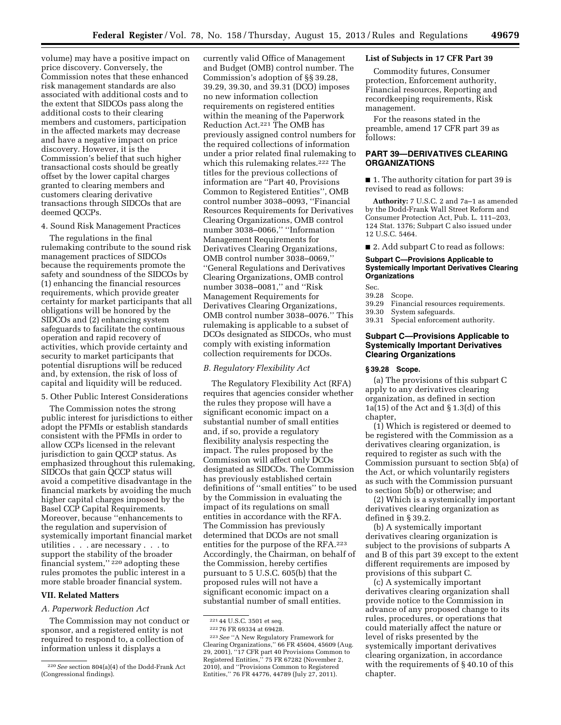volume) may have a positive impact on price discovery. Conversely, the Commission notes that these enhanced risk management standards are also associated with additional costs and to the extent that SIDCOs pass along the additional costs to their clearing members and customers, participation in the affected markets may decrease and have a negative impact on price discovery. However, it is the Commission's belief that such higher transactional costs should be greatly offset by the lower capital charges granted to clearing members and customers clearing derivative transactions through SIDCOs that are deemed QCCPs.

## 4. Sound Risk Management Practices

The regulations in the final rulemaking contribute to the sound risk management practices of SIDCOs because the requirements promote the safety and soundness of the SIDCOs by (1) enhancing the financial resources requirements, which provide greater certainty for market participants that all obligations will be honored by the SIDCOs and (2) enhancing system safeguards to facilitate the continuous operation and rapid recovery of activities, which provide certainty and security to market participants that potential disruptions will be reduced and, by extension, the risk of loss of capital and liquidity will be reduced.

#### 5. Other Public Interest Considerations

The Commission notes the strong public interest for jurisdictions to either adopt the PFMIs or establish standards consistent with the PFMIs in order to allow CCPs licensed in the relevant jurisdiction to gain QCCP status. As emphasized throughout this rulemaking, SIDCOs that gain QCCP status will avoid a competitive disadvantage in the financial markets by avoiding the much higher capital charges imposed by the Basel CCP Capital Requirements. Moreover, because ''enhancements to the regulation and supervision of systemically important financial market utilities . . . are necessary . . . to support the stability of the broader financial system," $^{220}$  adopting these rules promotes the public interest in a more stable broader financial system.

## **VII. Related Matters**

## *A. Paperwork Reduction Act*

The Commission may not conduct or sponsor, and a registered entity is not required to respond to, a collection of information unless it displays a

currently valid Office of Management and Budget (OMB) control number. The Commission's adoption of §§ 39.28, 39.29, 39.30, and 39.31 (DCO) imposes no new information collection requirements on registered entities within the meaning of the Paperwork Reduction Act.221 The OMB has previously assigned control numbers for the required collections of information under a prior related final rulemaking to which this rulemaking relates.<sup>222</sup> The titles for the previous collections of information are ''Part 40, Provisions Common to Registered Entities'', OMB control number 3038–0093, ''Financial Resources Requirements for Derivatives Clearing Organizations, OMB control number 3038–0066,'' ''Information Management Requirements for Derivatives Clearing Organizations, OMB control number 3038–0069,'' ''General Regulations and Derivatives Clearing Organizations, OMB control number 3038–0081,'' and ''Risk Management Requirements for Derivatives Clearing Organizations, OMB control number 3038–0076.'' This rulemaking is applicable to a subset of DCOs designated as SIDCOs, who must comply with existing information collection requirements for DCOs.

## *B. Regulatory Flexibility Act*

The Regulatory Flexibility Act (RFA) requires that agencies consider whether the rules they propose will have a significant economic impact on a substantial number of small entities and, if so, provide a regulatory flexibility analysis respecting the impact. The rules proposed by the Commission will affect only DCOs designated as SIDCOs. The Commission has previously established certain definitions of ''small entities'' to be used by the Commission in evaluating the impact of its regulations on small entities in accordance with the RFA. The Commission has previously determined that DCOs are not small entities for the purpose of the RFA.223 Accordingly, the Chairman, on behalf of the Commission, hereby certifies pursuant to 5 U.S.C. 605(b) that the proposed rules will not have a significant economic impact on a substantial number of small entities.

# **List of Subjects in 17 CFR Part 39**

Commodity futures, Consumer protection, Enforcement authority, Financial resources, Reporting and recordkeeping requirements, Risk management.

For the reasons stated in the preamble, amend 17 CFR part 39 as follows:

## **PART 39—DERIVATIVES CLEARING ORGANIZATIONS**

■ 1. The authority citation for part 39 is revised to read as follows:

**Authority:** 7 U.S.C. 2 and 7a–1 as amended by the Dodd-Frank Wall Street Reform and Consumer Protection Act, Pub. L. 111–203, 124 Stat. 1376; Subpart C also issued under 12 U.S.C. 5464.

■ 2. Add subpart C to read as follows:

#### **Subpart C—Provisions Applicable to Systemically Important Derivatives Clearing Organizations**

Sec.<br>39.28

- Scope.
- 39.29 Financial resources requirements.
- System safeguards.
- 39.31 Special enforcement authority.

# **Subpart C—Provisions Applicable to Systemically Important Derivatives Clearing Organizations**

#### **§ 39.28 Scope.**

(a) The provisions of this subpart C apply to any derivatives clearing organization, as defined in section 1a(15) of the Act and  $\S 1.3(d)$  of this chapter,

(1) Which is registered or deemed to be registered with the Commission as a derivatives clearing organization, is required to register as such with the Commission pursuant to section 5b(a) of the Act, or which voluntarily registers as such with the Commission pursuant to section 5b(b) or otherwise; and

(2) Which is a systemically important derivatives clearing organization as defined in § 39.2.

(b) A systemically important derivatives clearing organization is subject to the provisions of subparts A and B of this part 39 except to the extent different requirements are imposed by provisions of this subpart C.

(c) A systemically important derivatives clearing organization shall provide notice to the Commission in advance of any proposed change to its rules, procedures, or operations that could materially affect the nature or level of risks presented by the systemically important derivatives clearing organization, in accordance with the requirements of § 40.10 of this chapter.

<sup>220</sup>*See* section 804(a)(4) of the Dodd-Frank Act (Congressional findings).

<sup>221</sup> 44 U.S.C. 3501 et seq.

<sup>222</sup> 76 FR 69334 at 69428.

<sup>223</sup>*See* ''A New Regulatory Framework for Clearing Organizations,'' 66 FR 45604, 45609 (Aug. 29, 2001), ''17 CFR part 40 Provisions Common to Registered Entities,'' 75 FR 67282 (November 2, 2010), and ''Provisions Common to Registered Entities,'' 76 FR 44776, 44789 (July 27, 2011).